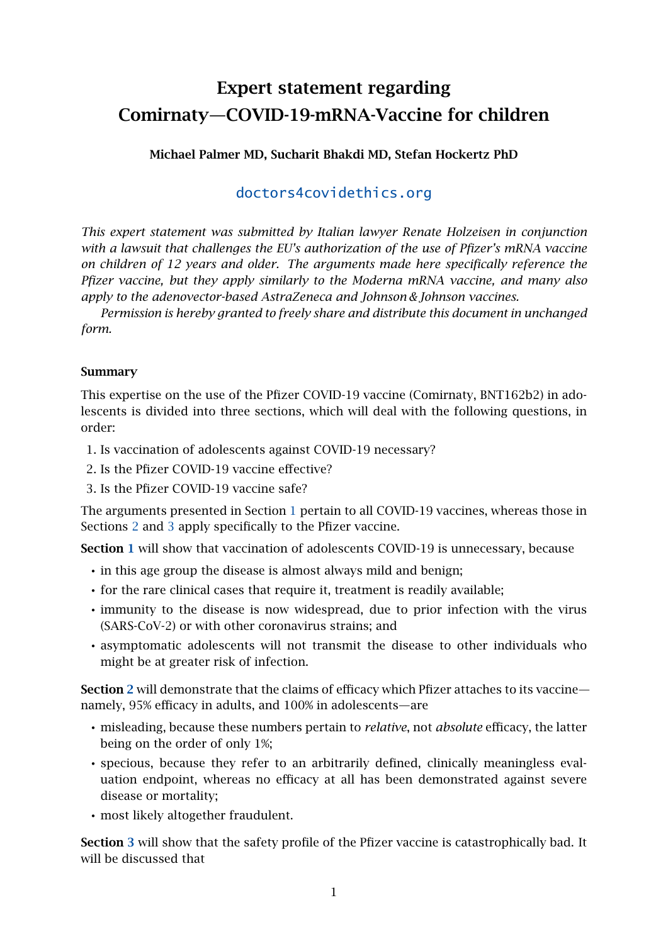# Expert statement regarding Comirnaty—COVID-19-mRNA-Vaccine for children

# Michael Palmer MD, Sucharit Bhakdi MD, Stefan Hockertz PhD

# [doctors4covidethics.org](https://doctors4covidethics.org)

*This expert statement was submitted by Italian lawyer Renate Holzeisen in conjunction with a lawsuit that challenges the EU's authorization of the use of Pfizer's mRNA vaccine on children of 12 years and older. The arguments made here specifically reference the Pfizer vaccine, but they apply similarly to the Moderna mRNA vaccine, and many also apply to the adenovector-based AstraZeneca and Johnson & Johnson vaccines.*

*Permission is hereby granted to freely share and distribute this document in unchanged form.*

# Summary

This expertise on the use of the Pfizer COVID-19 vaccine (Comirnaty, BNT162b2) in adolescents is divided into three sections, which will deal with the following questions, in order:

- 1. Is vaccination of adolescents against COVID-19 necessary?
- 2. Is the Pfizer COVID-19 vaccine effective?
- 3. Is the Pfizer COVID-19 vaccine safe?

The arguments presented in Section [1](#page-1-0) pertain to all COVID-19 vaccines, whereas those in Sections [2](#page-6-0) and [3](#page-12-0) apply specifically to the Pfizer vaccine.

Section [1](#page-1-0) will show that vaccination of adolescents COVID-19 is unnecessary, because

- in this age group the disease is almost always mild and benign;
- for the rare clinical cases that require it, treatment is readily available;
- immunity to the disease is now widespread, due to prior infection with the virus (SARS-CoV-2) or with other coronavirus strains; and
- asymptomatic adolescents will not transmit the disease to other individuals who might be at greater risk of infection.

Section [2](#page-6-0) will demonstrate that the claims of efficacy which Pfizer attaches to its vaccine namely, 95% efficacy in adults, and 100% in adolescents—are

- misleading, because these numbers pertain to *relative*, not *absolute* efficacy, the latter being on the order of only 1%;
- specious, because they refer to an arbitrarily defined, clinically meaningless evaluation endpoint, whereas no efficacy at all has been demonstrated against severe disease or mortality;
- most likely altogether fraudulent.

Section [3](#page-12-0) will show that the safety profile of the Pfizer vaccine is catastrophically bad. It will be discussed that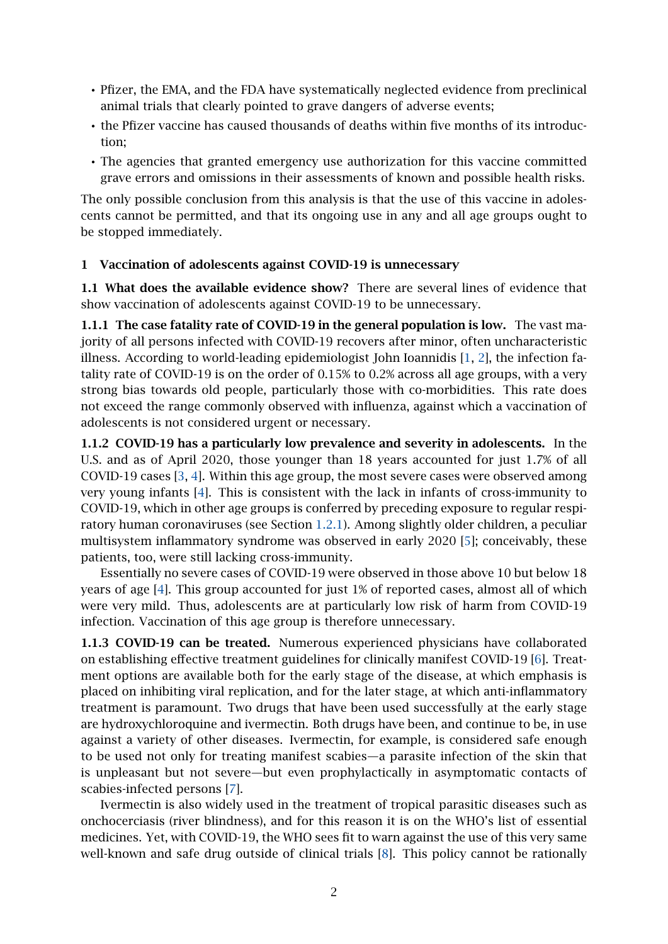- Pfizer, the EMA, and the FDA have systematically neglected evidence from preclinical animal trials that clearly pointed to grave dangers of adverse events;
- the Pfizer vaccine has caused thousands of deaths within five months of its introduction;
- The agencies that granted emergency use authorization for this vaccine committed grave errors and omissions in their assessments of known and possible health risks.

The only possible conclusion from this analysis is that the use of this vaccine in adolescents cannot be permitted, and that its ongoing use in any and all age groups ought to be stopped immediately.

#### <span id="page-1-0"></span>1 Vaccination of adolescents against COVID-19 is unnecessary

1.1 What does the available evidence show? There are several lines of evidence that show vaccination of adolescents against COVID-19 to be unnecessary.

<span id="page-1-2"></span>1.1.1 The case fatality rate of COVID-19 in the general population is low. The vast majority of all persons infected with COVID-19 recovers after minor, often uncharacteristic illness. According to world-leading epidemiologist John Ioannidis [\[1,](#page-19-0) [2\]](#page-19-1), the infection fatality rate of COVID-19 is on the order of 0.15% to 0.2% across all age groups, with a very strong bias towards old people, particularly those with co-morbidities. This rate does not exceed the range commonly observed with influenza, against which a vaccination of adolescents is not considered urgent or necessary.

<span id="page-1-1"></span>1.1.2 COVID-19 has a particularly low prevalence and severity in adolescents. In the U.S. and as of April 2020, those younger than 18 years accounted for just 1.7% of all COVID-19 cases [\[3,](#page-19-2) [4\]](#page-19-3). Within this age group, the most severe cases were observed among very young infants [\[4\]](#page-19-3). This is consistent with the lack in infants of cross-immunity to COVID-19, which in other age groups is conferred by preceding exposure to regular respiratory human coronaviruses (see Section [1.2.1\)](#page-3-0). Among slightly older children, a peculiar multisystem inflammatory syndrome was observed in early 2020 [\[5\]](#page-20-0); conceivably, these patients, too, were still lacking cross-immunity.

Essentially no severe cases of COVID-19 were observed in those above 10 but below 18 years of age [\[4\]](#page-19-3). This group accounted for just 1% of reported cases, almost all of which were very mild. Thus, adolescents are at particularly low risk of harm from COVID-19 infection. Vaccination of this age group is therefore unnecessary.

1.1.3 COVID-19 can be treated. Numerous experienced physicians have collaborated on establishing effective treatment guidelines for clinically manifest COVID-19 [\[6\]](#page-20-1). Treatment options are available both for the early stage of the disease, at which emphasis is placed on inhibiting viral replication, and for the later stage, at which anti-inflammatory treatment is paramount. Two drugs that have been used successfully at the early stage are hydroxychloroquine and ivermectin. Both drugs have been, and continue to be, in use against a variety of other diseases. Ivermectin, for example, is considered safe enough to be used not only for treating manifest scabies—a parasite infection of the skin that is unpleasant but not severe—but even prophylactically in asymptomatic contacts of scabies-infected persons [\[7\]](#page-20-2).

Ivermectin is also widely used in the treatment of tropical parasitic diseases such as onchocerciasis (river blindness), and for this reason it is on the WHO's list of essential medicines. Yet, with COVID-19, the WHO sees fit to warn against the use of this very same well-known and safe drug outside of clinical trials [\[8\]](#page-20-3). This policy cannot be rationally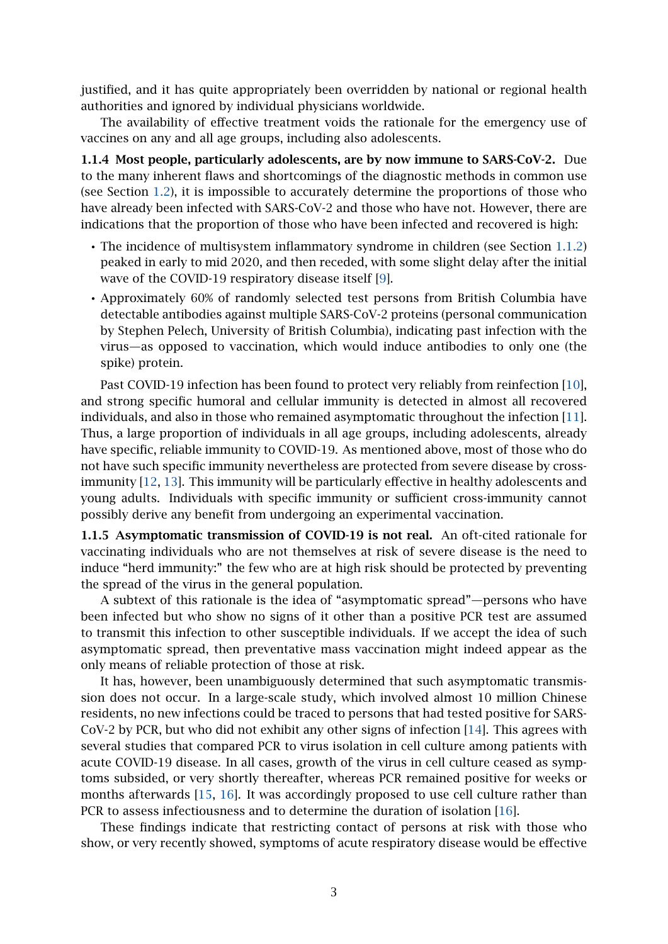justified, and it has quite appropriately been overridden by national or regional health authorities and ignored by individual physicians worldwide.

The availability of effective treatment voids the rationale for the emergency use of vaccines on any and all age groups, including also adolescents.

1.1.4 Most people, particularly adolescents, are by now immune to SARS-CoV-2. Due to the many inherent flaws and shortcomings of the diagnostic methods in common use (see Section [1.2\)](#page-3-1), it is impossible to accurately determine the proportions of those who have already been infected with SARS-CoV-2 and those who have not. However, there are indications that the proportion of those who have been infected and recovered is high:

- The incidence of multisystem inflammatory syndrome in children (see Section [1.1.2\)](#page-1-1) peaked in early to mid 2020, and then receded, with some slight delay after the initial wave of the COVID-19 respiratory disease itself [\[9\]](#page-20-4).
- Approximately 60% of randomly selected test persons from British Columbia have detectable antibodies against multiple SARS-CoV-2 proteins (personal communication by Stephen Pelech, University of British Columbia), indicating past infection with the virus—as opposed to vaccination, which would induce antibodies to only one (the spike) protein.

Past COVID-19 infection has been found to protect very reliably from reinfection [\[10\]](#page-20-5), and strong specific humoral and cellular immunity is detected in almost all recovered individuals, and also in those who remained asymptomatic throughout the infection [\[11\]](#page-20-6). Thus, a large proportion of individuals in all age groups, including adolescents, already have specific, reliable immunity to COVID-19. As mentioned above, most of those who do not have such specific immunity nevertheless are protected from severe disease by crossimmunity [\[12,](#page-20-7) [13\]](#page-20-8). This immunity will be particularly effective in healthy adolescents and young adults. Individuals with specific immunity or sufficient cross-immunity cannot possibly derive any benefit from undergoing an experimental vaccination.

1.1.5 Asymptomatic transmission of COVID-19 is not real. An oft-cited rationale for vaccinating individuals who are not themselves at risk of severe disease is the need to induce "herd immunity:" the few who are at high risk should be protected by preventing the spread of the virus in the general population.

A subtext of this rationale is the idea of "asymptomatic spread"—persons who have been infected but who show no signs of it other than a positive PCR test are assumed to transmit this infection to other susceptible individuals. If we accept the idea of such asymptomatic spread, then preventative mass vaccination might indeed appear as the only means of reliable protection of those at risk.

It has, however, been unambiguously determined that such asymptomatic transmission does not occur. In a large-scale study, which involved almost 10 million Chinese residents, no new infections could be traced to persons that had tested positive for SARS-CoV-2 by PCR, but who did not exhibit any other signs of infection [\[14\]](#page-20-9). This agrees with several studies that compared PCR to virus isolation in cell culture among patients with acute COVID-19 disease. In all cases, growth of the virus in cell culture ceased as symptoms subsided, or very shortly thereafter, whereas PCR remained positive for weeks or months afterwards [\[15,](#page-20-10) [16\]](#page-20-11). It was accordingly proposed to use cell culture rather than PCR to assess infectiousness and to determine the duration of isolation [\[16\]](#page-20-11).

These findings indicate that restricting contact of persons at risk with those who show, or very recently showed, symptoms of acute respiratory disease would be effective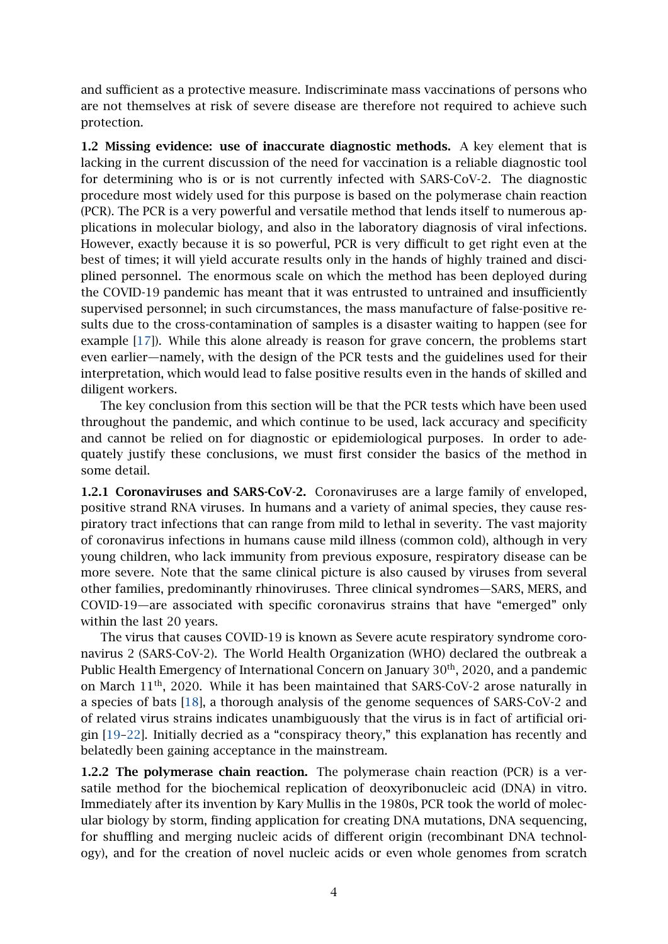and sufficient as a protective measure. Indiscriminate mass vaccinations of persons who are not themselves at risk of severe disease are therefore not required to achieve such protection.

<span id="page-3-1"></span>1.2 Missing evidence: use of inaccurate diagnostic methods. A key element that is lacking in the current discussion of the need for vaccination is a reliable diagnostic tool for determining who is or is not currently infected with SARS-CoV-2. The diagnostic procedure most widely used for this purpose is based on the polymerase chain reaction (PCR). The PCR is a very powerful and versatile method that lends itself to numerous applications in molecular biology, and also in the laboratory diagnosis of viral infections. However, exactly because it is so powerful, PCR is very difficult to get right even at the best of times; it will yield accurate results only in the hands of highly trained and disciplined personnel. The enormous scale on which the method has been deployed during the COVID-19 pandemic has meant that it was entrusted to untrained and insufficiently supervised personnel; in such circumstances, the mass manufacture of false-positive results due to the cross-contamination of samples is a disaster waiting to happen (see for example [\[17\]](#page-20-12)). While this alone already is reason for grave concern, the problems start even earlier—namely, with the design of the PCR tests and the guidelines used for their interpretation, which would lead to false positive results even in the hands of skilled and diligent workers.

The key conclusion from this section will be that the PCR tests which have been used throughout the pandemic, and which continue to be used, lack accuracy and specificity and cannot be relied on for diagnostic or epidemiological purposes. In order to adequately justify these conclusions, we must first consider the basics of the method in some detail.

<span id="page-3-0"></span>1.2.1 Coronaviruses and SARS-CoV-2. Coronaviruses are a large family of enveloped, positive strand RNA viruses. In humans and a variety of animal species, they cause respiratory tract infections that can range from mild to lethal in severity. The vast majority of coronavirus infections in humans cause mild illness (common cold), although in very young children, who lack immunity from previous exposure, respiratory disease can be more severe. Note that the same clinical picture is also caused by viruses from several other families, predominantly rhinoviruses. Three clinical syndromes—SARS, MERS, and COVID-19—are associated with specific coronavirus strains that have "emerged" only within the last 20 years.

The virus that causes COVID-19 is known as Severe acute respiratory syndrome coronavirus 2 (SARS-CoV-2). The World Health Organization (WHO) declared the outbreak a Public Health Emergency of International Concern on January 30<sup>th</sup>, 2020, and a pandemic on March 11th, 2020. While it has been maintained that SARS-CoV-2 arose naturally in a species of bats [\[18\]](#page-20-13), a thorough analysis of the genome sequences of SARS-CoV-2 and of related virus strains indicates unambiguously that the virus is in fact of artificial origin [\[19–](#page-20-14)[22\]](#page-21-0). Initially decried as a "conspiracy theory," this explanation has recently and belatedly been gaining acceptance in the mainstream.

1.2.2 The polymerase chain reaction. The polymerase chain reaction (PCR) is a versatile method for the biochemical replication of deoxyribonucleic acid (DNA) in vitro. Immediately after its invention by Kary Mullis in the 1980s, PCR took the world of molecular biology by storm, finding application for creating DNA mutations, DNA sequencing, for shuffling and merging nucleic acids of different origin (recombinant DNA technology), and for the creation of novel nucleic acids or even whole genomes from scratch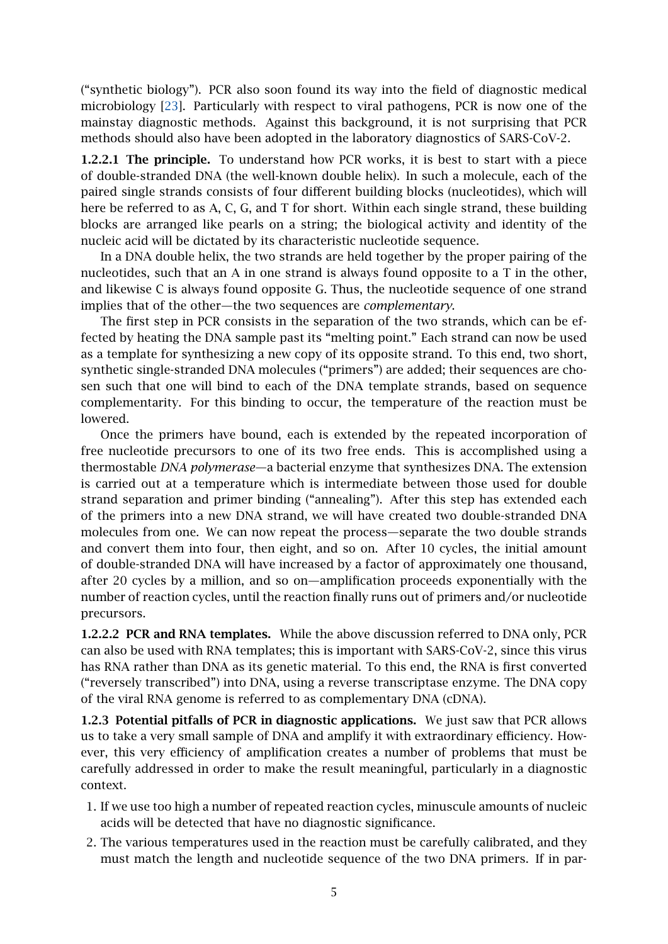("synthetic biology"). PCR also soon found its way into the field of diagnostic medical microbiology [\[23\]](#page-21-1). Particularly with respect to viral pathogens, PCR is now one of the mainstay diagnostic methods. Against this background, it is not surprising that PCR methods should also have been adopted in the laboratory diagnostics of SARS-CoV-2.

1.2.2.1 The principle. To understand how PCR works, it is best to start with a piece of double-stranded DNA (the well-known double helix). In such a molecule, each of the paired single strands consists of four different building blocks (nucleotides), which will here be referred to as A, C, G, and T for short. Within each single strand, these building blocks are arranged like pearls on a string; the biological activity and identity of the nucleic acid will be dictated by its characteristic nucleotide sequence.

In a DNA double helix, the two strands are held together by the proper pairing of the nucleotides, such that an A in one strand is always found opposite to a T in the other, and likewise C is always found opposite G. Thus, the nucleotide sequence of one strand implies that of the other—the two sequences are *complementary*.

The first step in PCR consists in the separation of the two strands, which can be effected by heating the DNA sample past its "melting point." Each strand can now be used as a template for synthesizing a new copy of its opposite strand. To this end, two short, synthetic single-stranded DNA molecules ("primers") are added; their sequences are chosen such that one will bind to each of the DNA template strands, based on sequence complementarity. For this binding to occur, the temperature of the reaction must be lowered.

Once the primers have bound, each is extended by the repeated incorporation of free nucleotide precursors to one of its two free ends. This is accomplished using a thermostable *DNA polymerase*—a bacterial enzyme that synthesizes DNA. The extension is carried out at a temperature which is intermediate between those used for double strand separation and primer binding ("annealing"). After this step has extended each of the primers into a new DNA strand, we will have created two double-stranded DNA molecules from one. We can now repeat the process—separate the two double strands and convert them into four, then eight, and so on. After 10 cycles, the initial amount of double-stranded DNA will have increased by a factor of approximately one thousand, after 20 cycles by a million, and so on—amplification proceeds exponentially with the number of reaction cycles, until the reaction finally runs out of primers and/or nucleotide precursors.

1.2.2.2 PCR and RNA templates. While the above discussion referred to DNA only, PCR can also be used with RNA templates; this is important with SARS-CoV-2, since this virus has RNA rather than DNA as its genetic material. To this end, the RNA is first converted ("reversely transcribed") into DNA, using a reverse transcriptase enzyme. The DNA copy of the viral RNA genome is referred to as complementary DNA (cDNA).

1.2.3 Potential pitfalls of PCR in diagnostic applications. We just saw that PCR allows us to take a very small sample of DNA and amplify it with extraordinary efficiency. However, this very efficiency of amplification creates a number of problems that must be carefully addressed in order to make the result meaningful, particularly in a diagnostic context.

- 1. If we use too high a number of repeated reaction cycles, minuscule amounts of nucleic acids will be detected that have no diagnostic significance.
- 2. The various temperatures used in the reaction must be carefully calibrated, and they must match the length and nucleotide sequence of the two DNA primers. If in par-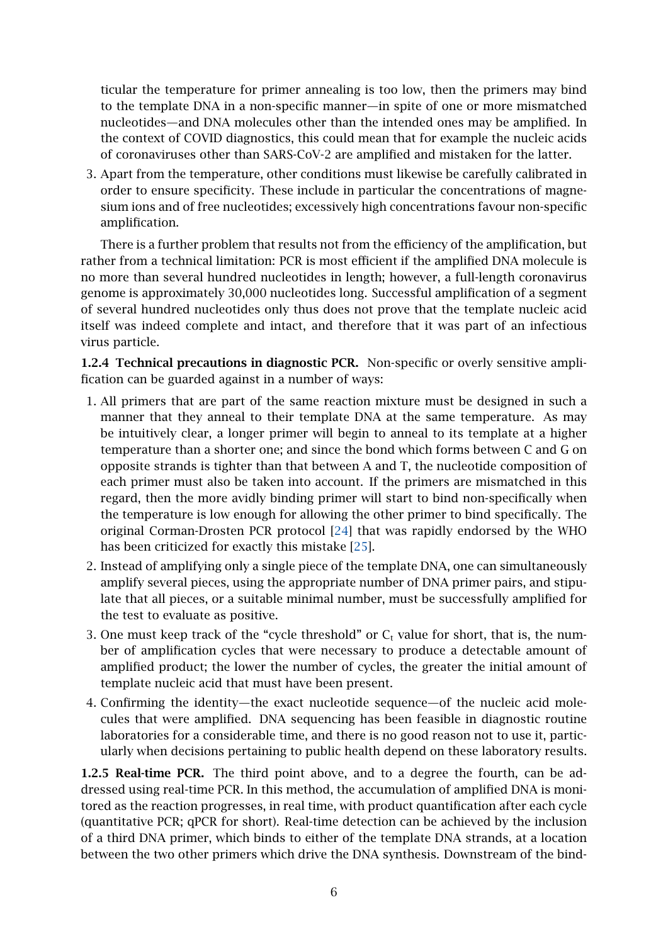ticular the temperature for primer annealing is too low, then the primers may bind to the template DNA in a non-specific manner—in spite of one or more mismatched nucleotides—and DNA molecules other than the intended ones may be amplified. In the context of COVID diagnostics, this could mean that for example the nucleic acids of coronaviruses other than SARS-CoV-2 are amplified and mistaken for the latter.

3. Apart from the temperature, other conditions must likewise be carefully calibrated in order to ensure specificity. These include in particular the concentrations of magnesium ions and of free nucleotides; excessively high concentrations favour non-specific amplification.

There is a further problem that results not from the efficiency of the amplification, but rather from a technical limitation: PCR is most efficient if the amplified DNA molecule is no more than several hundred nucleotides in length; however, a full-length coronavirus genome is approximately 30,000 nucleotides long. Successful amplification of a segment of several hundred nucleotides only thus does not prove that the template nucleic acid itself was indeed complete and intact, and therefore that it was part of an infectious virus particle.

1.2.4 Technical precautions in diagnostic PCR. Non-specific or overly sensitive amplification can be guarded against in a number of ways:

- 1. All primers that are part of the same reaction mixture must be designed in such a manner that they anneal to their template DNA at the same temperature. As may be intuitively clear, a longer primer will begin to anneal to its template at a higher temperature than a shorter one; and since the bond which forms between C and G on opposite strands is tighter than that between A and T, the nucleotide composition of each primer must also be taken into account. If the primers are mismatched in this regard, then the more avidly binding primer will start to bind non-specifically when the temperature is low enough for allowing the other primer to bind specifically. The original Corman-Drosten PCR protocol [\[24\]](#page-21-2) that was rapidly endorsed by the WHO has been criticized for exactly this mistake [\[25\]](#page-21-3).
- 2. Instead of amplifying only a single piece of the template DNA, one can simultaneously amplify several pieces, using the appropriate number of DNA primer pairs, and stipulate that all pieces, or a suitable minimal number, must be successfully amplified for the test to evaluate as positive.
- 3. One must keep track of the "cycle threshold" or  $C_t$  value for short, that is, the number of amplification cycles that were necessary to produce a detectable amount of amplified product; the lower the number of cycles, the greater the initial amount of template nucleic acid that must have been present.
- 4. Confirming the identity—the exact nucleotide sequence—of the nucleic acid molecules that were amplified. DNA sequencing has been feasible in diagnostic routine laboratories for a considerable time, and there is no good reason not to use it, particularly when decisions pertaining to public health depend on these laboratory results.

1.2.5 Real-time PCR. The third point above, and to a degree the fourth, can be addressed using real-time PCR. In this method, the accumulation of amplified DNA is monitored as the reaction progresses, in real time, with product quantification after each cycle (quantitative PCR; qPCR for short). Real-time detection can be achieved by the inclusion of a third DNA primer, which binds to either of the template DNA strands, at a location between the two other primers which drive the DNA synthesis. Downstream of the bind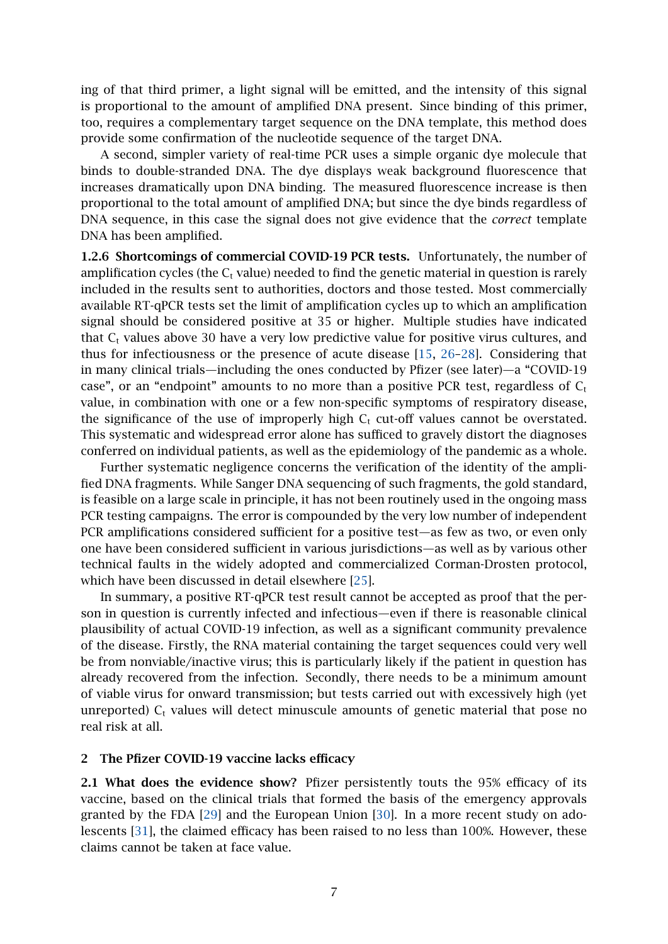ing of that third primer, a light signal will be emitted, and the intensity of this signal is proportional to the amount of amplified DNA present. Since binding of this primer, too, requires a complementary target sequence on the DNA template, this method does provide some confirmation of the nucleotide sequence of the target DNA.

A second, simpler variety of real-time PCR uses a simple organic dye molecule that binds to double-stranded DNA. The dye displays weak background fluorescence that increases dramatically upon DNA binding. The measured fluorescence increase is then proportional to the total amount of amplified DNA; but since the dye binds regardless of DNA sequence, in this case the signal does not give evidence that the *correct* template DNA has been amplified.

<span id="page-6-1"></span>1.2.6 Shortcomings of commercial COVID-19 PCR tests. Unfortunately, the number of amplification cycles (the  $C_t$  value) needed to find the genetic material in question is rarely included in the results sent to authorities, doctors and those tested. Most commercially available RT-qPCR tests set the limit of amplification cycles up to which an amplification signal should be considered positive at 35 or higher. Multiple studies have indicated that  $C_t$  values above 30 have a very low predictive value for positive virus cultures, and thus for infectiousness or the presence of acute disease [\[15,](#page-20-10) [26–](#page-21-4)[28\]](#page-21-5). Considering that in many clinical trials—including the ones conducted by Pfizer (see later)—a "COVID-19 case", or an "endpoint" amounts to no more than a positive PCR test, regardless of  $C_t$ value, in combination with one or a few non-specific symptoms of respiratory disease, the significance of the use of improperly high  $C_t$  cut-off values cannot be overstated. This systematic and widespread error alone has sufficed to gravely distort the diagnoses conferred on individual patients, as well as the epidemiology of the pandemic as a whole.

Further systematic negligence concerns the verification of the identity of the amplified DNA fragments. While Sanger DNA sequencing of such fragments, the gold standard, is feasible on a large scale in principle, it has not been routinely used in the ongoing mass PCR testing campaigns. The error is compounded by the very low number of independent PCR amplifications considered sufficient for a positive test—as few as two, or even only one have been considered sufficient in various jurisdictions—as well as by various other technical faults in the widely adopted and commercialized Corman-Drosten protocol, which have been discussed in detail elsewhere [\[25\]](#page-21-3).

In summary, a positive RT-qPCR test result cannot be accepted as proof that the person in question is currently infected and infectious—even if there is reasonable clinical plausibility of actual COVID-19 infection, as well as a significant community prevalence of the disease. Firstly, the RNA material containing the target sequences could very well be from nonviable/inactive virus; this is particularly likely if the patient in question has already recovered from the infection. Secondly, there needs to be a minimum amount of viable virus for onward transmission; but tests carried out with excessively high (yet unreported)  $C_t$  values will detect minuscule amounts of genetic material that pose no real risk at all.

#### <span id="page-6-0"></span>2 The Pfizer COVID-19 vaccine lacks efficacy

2.1 What does the evidence show? Pfizer persistently touts the 95% efficacy of its vaccine, based on the clinical trials that formed the basis of the emergency approvals granted by the FDA [\[29\]](#page-21-6) and the European Union [\[30\]](#page-21-7). In a more recent study on adolescents [\[31\]](#page-21-8), the claimed efficacy has been raised to no less than 100%. However, these claims cannot be taken at face value.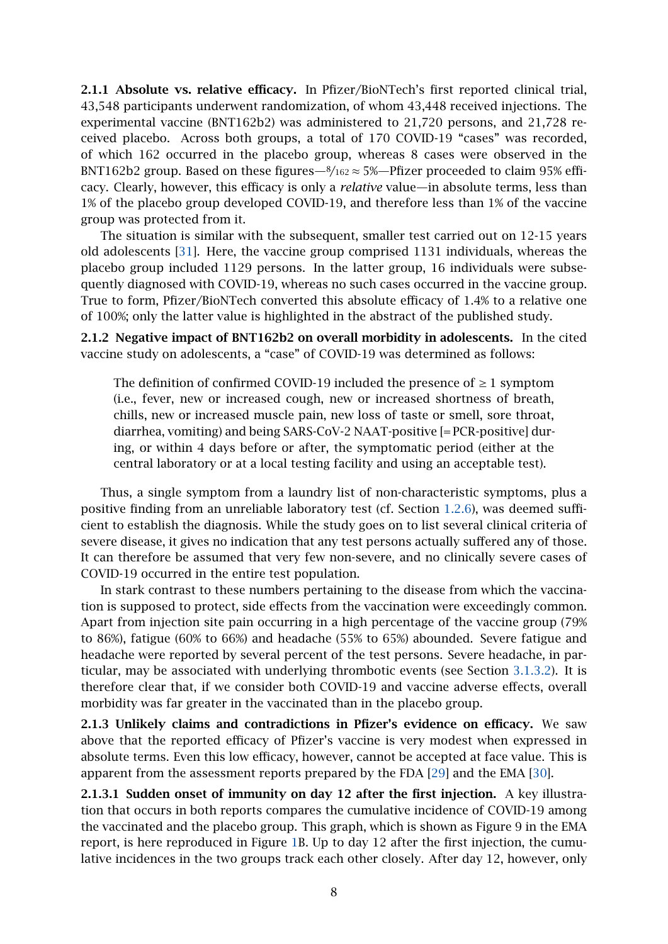2.1.1 Absolute vs. relative efficacy. In Pfizer/BioNTech's first reported clinical trial, 43,548 participants underwent randomization, of whom 43,448 received injections. The experimental vaccine (BNT162b2) was administered to 21,720 persons, and 21,728 received placebo. Across both groups, a total of 170 COVID-19 "cases" was recorded, of which 162 occurred in the placebo group, whereas 8 cases were observed in the BNT162b2 group. Based on these figures— $\frac{8}{162} \approx 5\%$ —Pfizer proceeded to claim 95% efficacy. Clearly, however, this efficacy is only a *relative* value—in absolute terms, less than 1% of the placebo group developed COVID-19, and therefore less than 1% of the vaccine group was protected from it.

The situation is similar with the subsequent, smaller test carried out on 12-15 years old adolescents [\[31\]](#page-21-8). Here, the vaccine group comprised 1131 individuals, whereas the placebo group included 1129 persons. In the latter group, 16 individuals were subsequently diagnosed with COVID-19, whereas no such cases occurred in the vaccine group. True to form, Pfizer/BioNTech converted this absolute efficacy of 1.4% to a relative one of 100%; only the latter value is highlighted in the abstract of the published study.

2.1.2 Negative impact of BNT162b2 on overall morbidity in adolescents. In the cited vaccine study on adolescents, a "case" of COVID-19 was determined as follows:

The definition of confirmed COVID-19 included the presence of  $\geq 1$  symptom (i.e., fever, new or increased cough, new or increased shortness of breath, chills, new or increased muscle pain, new loss of taste or smell, sore throat, diarrhea, vomiting) and being SARS-CoV-2 NAAT-positive [= PCR-positive] during, or within 4 days before or after, the symptomatic period (either at the central laboratory or at a local testing facility and using an acceptable test).

Thus, a single symptom from a laundry list of non-characteristic symptoms, plus a positive finding from an unreliable laboratory test (cf. Section [1.2.6\)](#page-6-1), was deemed sufficient to establish the diagnosis. While the study goes on to list several clinical criteria of severe disease, it gives no indication that any test persons actually suffered any of those. It can therefore be assumed that very few non-severe, and no clinically severe cases of COVID-19 occurred in the entire test population.

In stark contrast to these numbers pertaining to the disease from which the vaccination is supposed to protect, side effects from the vaccination were exceedingly common. Apart from injection site pain occurring in a high percentage of the vaccine group (79% to 86%), fatigue (60% to 66%) and headache (55% to 65%) abounded. Severe fatigue and headache were reported by several percent of the test persons. Severe headache, in particular, may be associated with underlying thrombotic events (see Section [3.1.3.2\)](#page-16-0). It is therefore clear that, if we consider both COVID-19 and vaccine adverse effects, overall morbidity was far greater in the vaccinated than in the placebo group.

2.1.3 Unlikely claims and contradictions in Pfizer's evidence on efficacy. We saw above that the reported efficacy of Pfizer's vaccine is very modest when expressed in absolute terms. Even this low efficacy, however, cannot be accepted at face value. This is apparent from the assessment reports prepared by the FDA [\[29\]](#page-21-6) and the EMA [\[30\]](#page-21-7).

<span id="page-7-0"></span>2.1.3.1 Sudden onset of immunity on day 12 after the first injection. A key illustration that occurs in both reports compares the cumulative incidence of COVID-19 among the vaccinated and the placebo group. This graph, which is shown as Figure 9 in the EMA report, is here reproduced in Figure [1B](#page-8-0). Up to day 12 after the first injection, the cumulative incidences in the two groups track each other closely. After day 12, however, only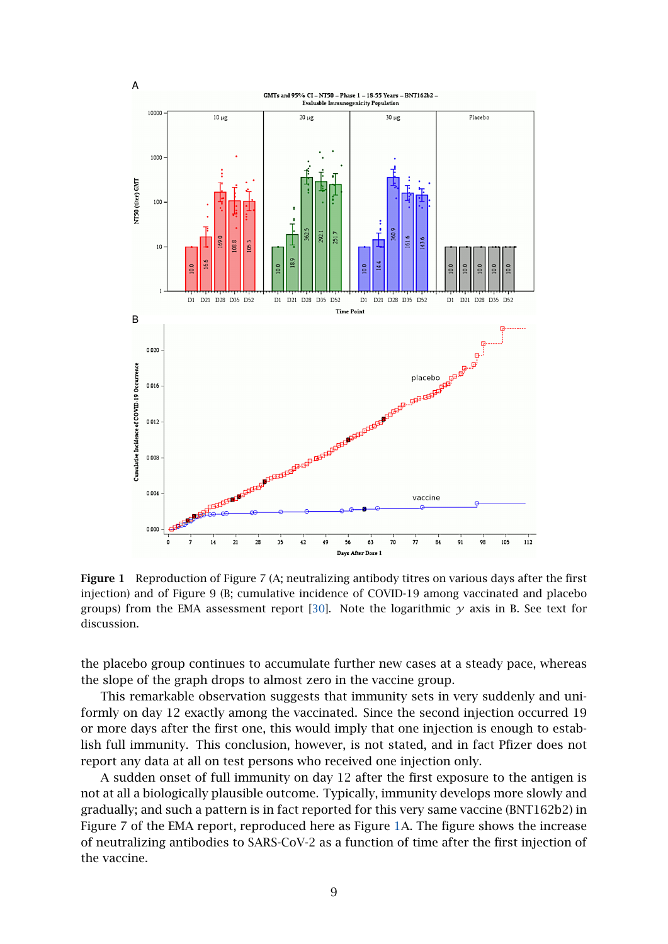<span id="page-8-0"></span>

Figure 1 Reproduction of Figure 7 (A; neutralizing antibody titres on various days after the first injection) and of Figure 9 (B; cumulative incidence of COVID-19 among vaccinated and placebo groups) from the EMA assessment report [\[30\]](#page-21-7). Note the logarithmic  $\gamma$  axis in B. See text for discussion.

the placebo group continues to accumulate further new cases at a steady pace, whereas the slope of the graph drops to almost zero in the vaccine group.

This remarkable observation suggests that immunity sets in very suddenly and uniformly on day 12 exactly among the vaccinated. Since the second injection occurred 19 or more days after the first one, this would imply that one injection is enough to establish full immunity. This conclusion, however, is not stated, and in fact Pfizer does not report any data at all on test persons who received one injection only.

A sudden onset of full immunity on day 12 after the first exposure to the antigen is not at all a biologically plausible outcome. Typically, immunity develops more slowly and gradually; and such a pattern is in fact reported for this very same vaccine (BNT162b2) in Figure 7 of the EMA report, reproduced here as Figure [1A](#page-8-0). The figure shows the increase of neutralizing antibodies to SARS-CoV-2 as a function of time after the first injection of the vaccine.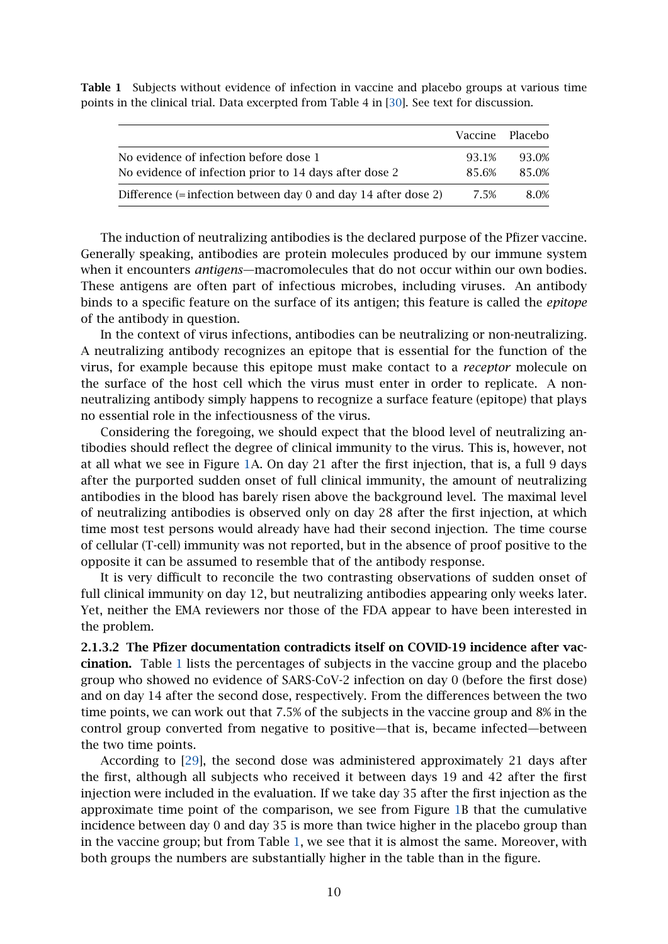|                                                                  |       | Vaccine Placebo |
|------------------------------------------------------------------|-------|-----------------|
| No evidence of infection before dose 1                           | 93.1% | 93.0%           |
| No evidence of infection prior to 14 days after dose 2           | 85.6% | 85.0%           |
| Difference $(=$ infection between day 0 and day 14 after dose 2) | 7.5%  | 8.0%            |

<span id="page-9-0"></span>Table 1 Subjects without evidence of infection in vaccine and placebo groups at various time points in the clinical trial. Data excerpted from Table 4 in [\[30\]](#page-21-7). See text for discussion.

The induction of neutralizing antibodies is the declared purpose of the Pfizer vaccine. Generally speaking, antibodies are protein molecules produced by our immune system when it encounters *antigens*—macromolecules that do not occur within our own bodies. These antigens are often part of infectious microbes, including viruses. An antibody binds to a specific feature on the surface of its antigen; this feature is called the *epitope* of the antibody in question.

In the context of virus infections, antibodies can be neutralizing or non-neutralizing. A neutralizing antibody recognizes an epitope that is essential for the function of the virus, for example because this epitope must make contact to a *receptor* molecule on the surface of the host cell which the virus must enter in order to replicate. A nonneutralizing antibody simply happens to recognize a surface feature (epitope) that plays no essential role in the infectiousness of the virus.

Considering the foregoing, we should expect that the blood level of neutralizing antibodies should reflect the degree of clinical immunity to the virus. This is, however, not at all what we see in Figure [1A](#page-8-0). On day 21 after the first injection, that is, a full 9 days after the purported sudden onset of full clinical immunity, the amount of neutralizing antibodies in the blood has barely risen above the background level. The maximal level of neutralizing antibodies is observed only on day 28 after the first injection, at which time most test persons would already have had their second injection. The time course of cellular (T-cell) immunity was not reported, but in the absence of proof positive to the opposite it can be assumed to resemble that of the antibody response.

It is very difficult to reconcile the two contrasting observations of sudden onset of full clinical immunity on day 12, but neutralizing antibodies appearing only weeks later. Yet, neither the EMA reviewers nor those of the FDA appear to have been interested in the problem.

2.1.3.2 The Pfizer documentation contradicts itself on COVID-19 incidence after vaccination. Table [1](#page-9-0) lists the percentages of subjects in the vaccine group and the placebo group who showed no evidence of SARS-CoV-2 infection on day 0 (before the first dose) and on day 14 after the second dose, respectively. From the differences between the two time points, we can work out that 7.5% of the subjects in the vaccine group and 8% in the control group converted from negative to positive—that is, became infected—between the two time points.

According to [\[29\]](#page-21-6), the second dose was administered approximately 21 days after the first, although all subjects who received it between days 19 and 42 after the first injection were included in the evaluation. If we take day 35 after the first injection as the approximate time point of the comparison, we see from Figure [1B](#page-8-0) that the cumulative incidence between day 0 and day 35 is more than twice higher in the placebo group than in the vaccine group; but from Table [1,](#page-9-0) we see that it is almost the same. Moreover, with both groups the numbers are substantially higher in the table than in the figure.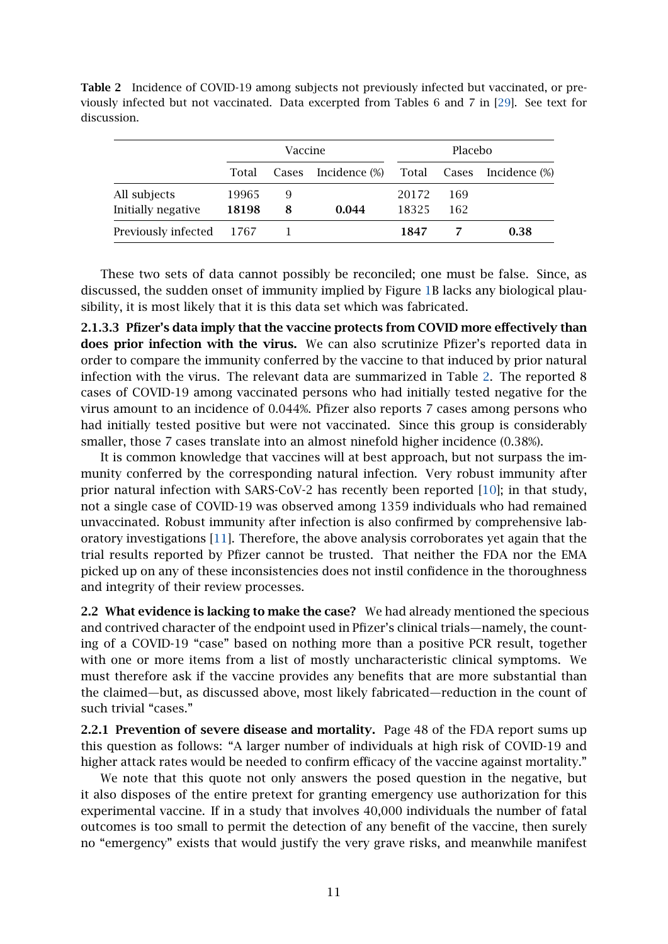<span id="page-10-0"></span>

|             | <b>Table 2</b> Incidence of COVID-19 among subjects not previously infected but vaccinated, or pre- |  |  |
|-------------|-----------------------------------------------------------------------------------------------------|--|--|
|             | viously infected but not vaccinated. Data excerpted from Tables 6 and 7 in [29]. See text for       |  |  |
| discussion. |                                                                                                     |  |  |

|                                    | Vaccine        |        |               | Placebo        |            |                           |
|------------------------------------|----------------|--------|---------------|----------------|------------|---------------------------|
|                                    | Total          | Cases  | Incidence (%) |                |            | Total Cases Incidence (%) |
| All subjects<br>Initially negative | 19965<br>18198 | 9<br>8 | 0.044         | 20172<br>18325 | 169<br>162 |                           |
| Previously infected 1767           |                |        |               | 1847           |            | 0.38                      |

These two sets of data cannot possibly be reconciled; one must be false. Since, as discussed, the sudden onset of immunity implied by Figure [1B](#page-8-0) lacks any biological plausibility, it is most likely that it is this data set which was fabricated.

2.1.3.3 Pfizer's data imply that the vaccine protects from COVID more effectively than does prior infection with the virus. We can also scrutinize Pfizer's reported data in order to compare the immunity conferred by the vaccine to that induced by prior natural infection with the virus. The relevant data are summarized in Table [2.](#page-10-0) The reported 8 cases of COVID-19 among vaccinated persons who had initially tested negative for the virus amount to an incidence of 0.044%. Pfizer also reports 7 cases among persons who had initially tested positive but were not vaccinated. Since this group is considerably smaller, those 7 cases translate into an almost ninefold higher incidence (0.38%).

It is common knowledge that vaccines will at best approach, but not surpass the immunity conferred by the corresponding natural infection. Very robust immunity after prior natural infection with SARS-CoV-2 has recently been reported [\[10\]](#page-20-5); in that study, not a single case of COVID-19 was observed among 1359 individuals who had remained unvaccinated. Robust immunity after infection is also confirmed by comprehensive laboratory investigations [\[11\]](#page-20-6). Therefore, the above analysis corroborates yet again that the trial results reported by Pfizer cannot be trusted. That neither the FDA nor the EMA picked up on any of these inconsistencies does not instil confidence in the thoroughness and integrity of their review processes.

2.2 What evidence is lacking to make the case? We had already mentioned the specious and contrived character of the endpoint used in Pfizer's clinical trials—namely, the counting of a COVID-19 "case" based on nothing more than a positive PCR result, together with one or more items from a list of mostly uncharacteristic clinical symptoms. We must therefore ask if the vaccine provides any benefits that are more substantial than the claimed—but, as discussed above, most likely fabricated—reduction in the count of such trivial "cases."

2.2.1 Prevention of severe disease and mortality. Page 48 of the FDA report sums up this question as follows: "A larger number of individuals at high risk of COVID-19 and higher attack rates would be needed to confirm efficacy of the vaccine against mortality."

We note that this quote not only answers the posed question in the negative, but it also disposes of the entire pretext for granting emergency use authorization for this experimental vaccine. If in a study that involves 40,000 individuals the number of fatal outcomes is too small to permit the detection of any benefit of the vaccine, then surely no "emergency" exists that would justify the very grave risks, and meanwhile manifest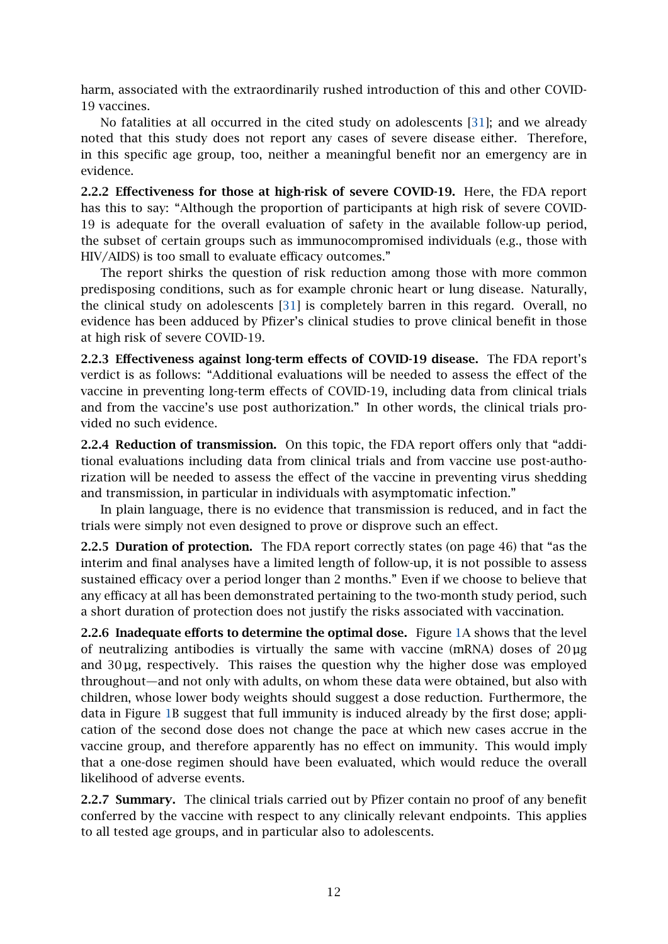harm, associated with the extraordinarily rushed introduction of this and other COVID-19 vaccines.

No fatalities at all occurred in the cited study on adolescents [\[31\]](#page-21-8); and we already noted that this study does not report any cases of severe disease either. Therefore, in this specific age group, too, neither a meaningful benefit nor an emergency are in evidence.

2.2.2 Effectiveness for those at high-risk of severe COVID-19. Here, the FDA report has this to say: "Although the proportion of participants at high risk of severe COVID-19 is adequate for the overall evaluation of safety in the available follow-up period, the subset of certain groups such as immunocompromised individuals (e.g., those with HIV/AIDS) is too small to evaluate efficacy outcomes."

The report shirks the question of risk reduction among those with more common predisposing conditions, such as for example chronic heart or lung disease. Naturally, the clinical study on adolescents [\[31\]](#page-21-8) is completely barren in this regard. Overall, no evidence has been adduced by Pfizer's clinical studies to prove clinical benefit in those at high risk of severe COVID-19.

2.2.3 Effectiveness against long-term effects of COVID-19 disease. The FDA report's verdict is as follows: "Additional evaluations will be needed to assess the effect of the vaccine in preventing long-term effects of COVID-19, including data from clinical trials and from the vaccine's use post authorization." In other words, the clinical trials provided no such evidence.

2.2.4 Reduction of transmission. On this topic, the FDA report offers only that "additional evaluations including data from clinical trials and from vaccine use post-authorization will be needed to assess the effect of the vaccine in preventing virus shedding and transmission, in particular in individuals with asymptomatic infection."

In plain language, there is no evidence that transmission is reduced, and in fact the trials were simply not even designed to prove or disprove such an effect.

2.2.5 Duration of protection. The FDA report correctly states (on page 46) that "as the interim and final analyses have a limited length of follow-up, it is not possible to assess sustained efficacy over a period longer than 2 months." Even if we choose to believe that any efficacy at all has been demonstrated pertaining to the two-month study period, such a short duration of protection does not justify the risks associated with vaccination.

2.2.6 Inadequate efforts to determine the optimal dose. Figure [1A](#page-8-0) shows that the level of neutralizing antibodies is virtually the same with vaccine (mRNA) doses of  $20 \mu$ g and  $30 \mu$ g, respectively. This raises the question why the higher dose was employed throughout—and not only with adults, on whom these data were obtained, but also with children, whose lower body weights should suggest a dose reduction. Furthermore, the data in Figure [1B](#page-8-0) suggest that full immunity is induced already by the first dose; application of the second dose does not change the pace at which new cases accrue in the vaccine group, and therefore apparently has no effect on immunity. This would imply that a one-dose regimen should have been evaluated, which would reduce the overall likelihood of adverse events.

2.2.7 Summary. The clinical trials carried out by Pfizer contain no proof of any benefit conferred by the vaccine with respect to any clinically relevant endpoints. This applies to all tested age groups, and in particular also to adolescents.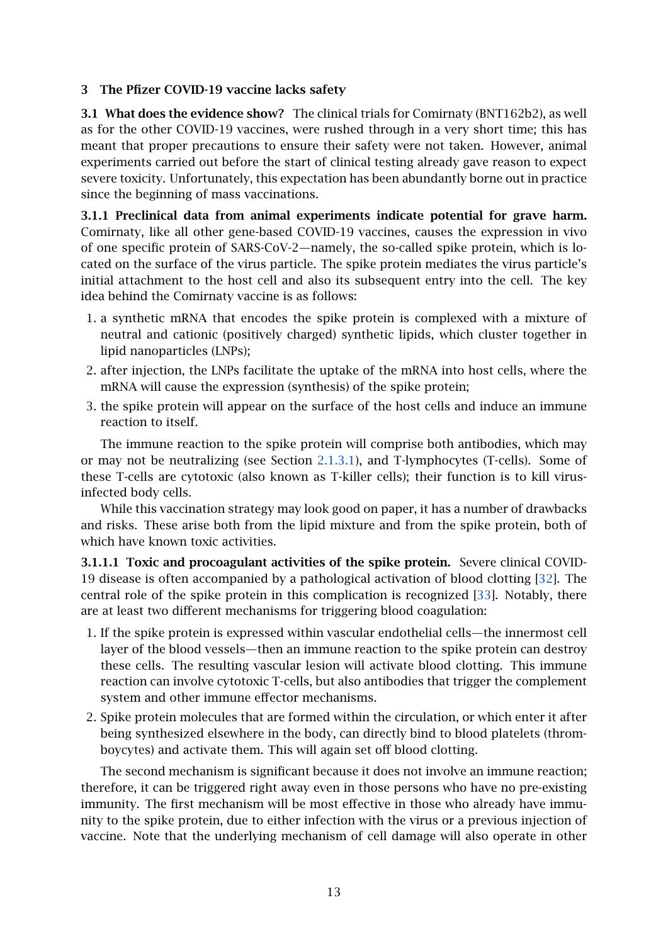# <span id="page-12-0"></span>3 The Pfizer COVID-19 vaccine lacks safety

3.1 What does the evidence show? The clinical trials for Comirnaty (BNT162b2), as well as for the other COVID-19 vaccines, were rushed through in a very short time; this has meant that proper precautions to ensure their safety were not taken. However, animal experiments carried out before the start of clinical testing already gave reason to expect severe toxicity. Unfortunately, this expectation has been abundantly borne out in practice since the beginning of mass vaccinations.

3.1.1 Preclinical data from animal experiments indicate potential for grave harm. Comirnaty, like all other gene-based COVID-19 vaccines, causes the expression in vivo of one specific protein of SARS-CoV-2—namely, the so-called spike protein, which is located on the surface of the virus particle. The spike protein mediates the virus particle's initial attachment to the host cell and also its subsequent entry into the cell. The key idea behind the Comirnaty vaccine is as follows:

- 1. a synthetic mRNA that encodes the spike protein is complexed with a mixture of neutral and cationic (positively charged) synthetic lipids, which cluster together in lipid nanoparticles (LNPs);
- 2. after injection, the LNPs facilitate the uptake of the mRNA into host cells, where the mRNA will cause the expression (synthesis) of the spike protein;
- 3. the spike protein will appear on the surface of the host cells and induce an immune reaction to itself.

The immune reaction to the spike protein will comprise both antibodies, which may or may not be neutralizing (see Section [2.1.3.1\)](#page-7-0), and T-lymphocytes (T-cells). Some of these T-cells are cytotoxic (also known as T-killer cells); their function is to kill virusinfected body cells.

While this vaccination strategy may look good on paper, it has a number of drawbacks and risks. These arise both from the lipid mixture and from the spike protein, both of which have known toxic activities.

3.1.1.1 Toxic and procoagulant activities of the spike protein. Severe clinical COVID-19 disease is often accompanied by a pathological activation of blood clotting [\[32\]](#page-21-9). The central role of the spike protein in this complication is recognized [\[33\]](#page-21-10). Notably, there are at least two different mechanisms for triggering blood coagulation:

- 1. If the spike protein is expressed within vascular endothelial cells—the innermost cell layer of the blood vessels—then an immune reaction to the spike protein can destroy these cells. The resulting vascular lesion will activate blood clotting. This immune reaction can involve cytotoxic T-cells, but also antibodies that trigger the complement system and other immune effector mechanisms.
- 2. Spike protein molecules that are formed within the circulation, or which enter it after being synthesized elsewhere in the body, can directly bind to blood platelets (thromboycytes) and activate them. This will again set off blood clotting.

The second mechanism is significant because it does not involve an immune reaction; therefore, it can be triggered right away even in those persons who have no pre-existing immunity. The first mechanism will be most effective in those who already have immunity to the spike protein, due to either infection with the virus or a previous injection of vaccine. Note that the underlying mechanism of cell damage will also operate in other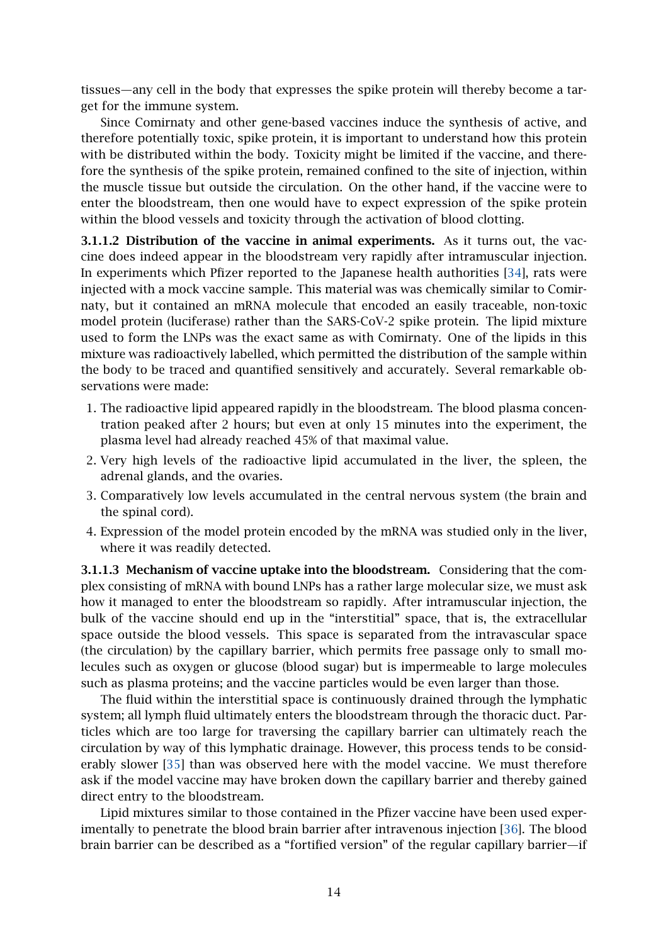tissues—any cell in the body that expresses the spike protein will thereby become a target for the immune system.

Since Comirnaty and other gene-based vaccines induce the synthesis of active, and therefore potentially toxic, spike protein, it is important to understand how this protein with be distributed within the body. Toxicity might be limited if the vaccine, and therefore the synthesis of the spike protein, remained confined to the site of injection, within the muscle tissue but outside the circulation. On the other hand, if the vaccine were to enter the bloodstream, then one would have to expect expression of the spike protein within the blood vessels and toxicity through the activation of blood clotting.

<span id="page-13-0"></span>3.1.1.2 Distribution of the vaccine in animal experiments. As it turns out, the vaccine does indeed appear in the bloodstream very rapidly after intramuscular injection. In experiments which Pfizer reported to the Japanese health authorities [\[34\]](#page-21-11), rats were injected with a mock vaccine sample. This material was was chemically similar to Comirnaty, but it contained an mRNA molecule that encoded an easily traceable, non-toxic model protein (luciferase) rather than the SARS-CoV-2 spike protein. The lipid mixture used to form the LNPs was the exact same as with Comirnaty. One of the lipids in this mixture was radioactively labelled, which permitted the distribution of the sample within the body to be traced and quantified sensitively and accurately. Several remarkable observations were made:

- 1. The radioactive lipid appeared rapidly in the bloodstream. The blood plasma concentration peaked after 2 hours; but even at only 15 minutes into the experiment, the plasma level had already reached 45% of that maximal value.
- 2. Very high levels of the radioactive lipid accumulated in the liver, the spleen, the adrenal glands, and the ovaries.
- 3. Comparatively low levels accumulated in the central nervous system (the brain and the spinal cord).
- 4. Expression of the model protein encoded by the mRNA was studied only in the liver, where it was readily detected.

3.1.1.3 Mechanism of vaccine uptake into the bloodstream. Considering that the complex consisting of mRNA with bound LNPs has a rather large molecular size, we must ask how it managed to enter the bloodstream so rapidly. After intramuscular injection, the bulk of the vaccine should end up in the "interstitial" space, that is, the extracellular space outside the blood vessels. This space is separated from the intravascular space (the circulation) by the capillary barrier, which permits free passage only to small molecules such as oxygen or glucose (blood sugar) but is impermeable to large molecules such as plasma proteins; and the vaccine particles would be even larger than those.

The fluid within the interstitial space is continuously drained through the lymphatic system; all lymph fluid ultimately enters the bloodstream through the thoracic duct. Particles which are too large for traversing the capillary barrier can ultimately reach the circulation by way of this lymphatic drainage. However, this process tends to be considerably slower [\[35\]](#page-21-12) than was observed here with the model vaccine. We must therefore ask if the model vaccine may have broken down the capillary barrier and thereby gained direct entry to the bloodstream.

Lipid mixtures similar to those contained in the Pfizer vaccine have been used experimentally to penetrate the blood brain barrier after intravenous injection [\[36\]](#page-21-13). The blood brain barrier can be described as a "fortified version" of the regular capillary barrier—if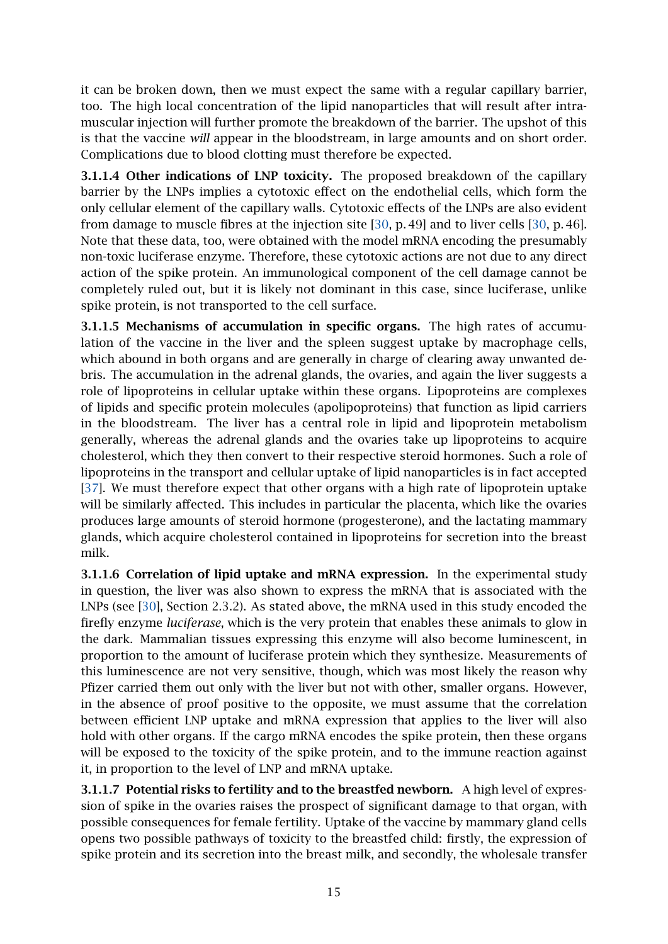it can be broken down, then we must expect the same with a regular capillary barrier, too. The high local concentration of the lipid nanoparticles that will result after intramuscular injection will further promote the breakdown of the barrier. The upshot of this is that the vaccine *will* appear in the bloodstream, in large amounts and on short order. Complications due to blood clotting must therefore be expected.

3.1.1.4 Other indications of LNP toxicity. The proposed breakdown of the capillary barrier by the LNPs implies a cytotoxic effect on the endothelial cells, which form the only cellular element of the capillary walls. Cytotoxic effects of the LNPs are also evident from damage to muscle fibres at the injection site [\[30,](#page-21-7) p. 49] and to liver cells [\[30,](#page-21-7) p. 46]. Note that these data, too, were obtained with the model mRNA encoding the presumably non-toxic luciferase enzyme. Therefore, these cytotoxic actions are not due to any direct action of the spike protein. An immunological component of the cell damage cannot be completely ruled out, but it is likely not dominant in this case, since luciferase, unlike spike protein, is not transported to the cell surface.

<span id="page-14-0"></span>3.1.1.5 Mechanisms of accumulation in specific organs. The high rates of accumulation of the vaccine in the liver and the spleen suggest uptake by macrophage cells, which abound in both organs and are generally in charge of clearing away unwanted debris. The accumulation in the adrenal glands, the ovaries, and again the liver suggests a role of lipoproteins in cellular uptake within these organs. Lipoproteins are complexes of lipids and specific protein molecules (apolipoproteins) that function as lipid carriers in the bloodstream. The liver has a central role in lipid and lipoprotein metabolism generally, whereas the adrenal glands and the ovaries take up lipoproteins to acquire cholesterol, which they then convert to their respective steroid hormones. Such a role of lipoproteins in the transport and cellular uptake of lipid nanoparticles is in fact accepted [\[37\]](#page-21-14). We must therefore expect that other organs with a high rate of lipoprotein uptake will be similarly affected. This includes in particular the placenta, which like the ovaries produces large amounts of steroid hormone (progesterone), and the lactating mammary glands, which acquire cholesterol contained in lipoproteins for secretion into the breast milk.

3.1.1.6 Correlation of lipid uptake and mRNA expression. In the experimental study in question, the liver was also shown to express the mRNA that is associated with the LNPs (see [\[30\]](#page-21-7), Section 2.3.2). As stated above, the mRNA used in this study encoded the firefly enzyme *luciferase*, which is the very protein that enables these animals to glow in the dark. Mammalian tissues expressing this enzyme will also become luminescent, in proportion to the amount of luciferase protein which they synthesize. Measurements of this luminescence are not very sensitive, though, which was most likely the reason why Pfizer carried them out only with the liver but not with other, smaller organs. However, in the absence of proof positive to the opposite, we must assume that the correlation between efficient LNP uptake and mRNA expression that applies to the liver will also hold with other organs. If the cargo mRNA encodes the spike protein, then these organs will be exposed to the toxicity of the spike protein, and to the immune reaction against it, in proportion to the level of LNP and mRNA uptake.

3.1.1.7 Potential risks to fertility and to the breastfed newborn. A high level of expression of spike in the ovaries raises the prospect of significant damage to that organ, with possible consequences for female fertility. Uptake of the vaccine by mammary gland cells opens two possible pathways of toxicity to the breastfed child: firstly, the expression of spike protein and its secretion into the breast milk, and secondly, the wholesale transfer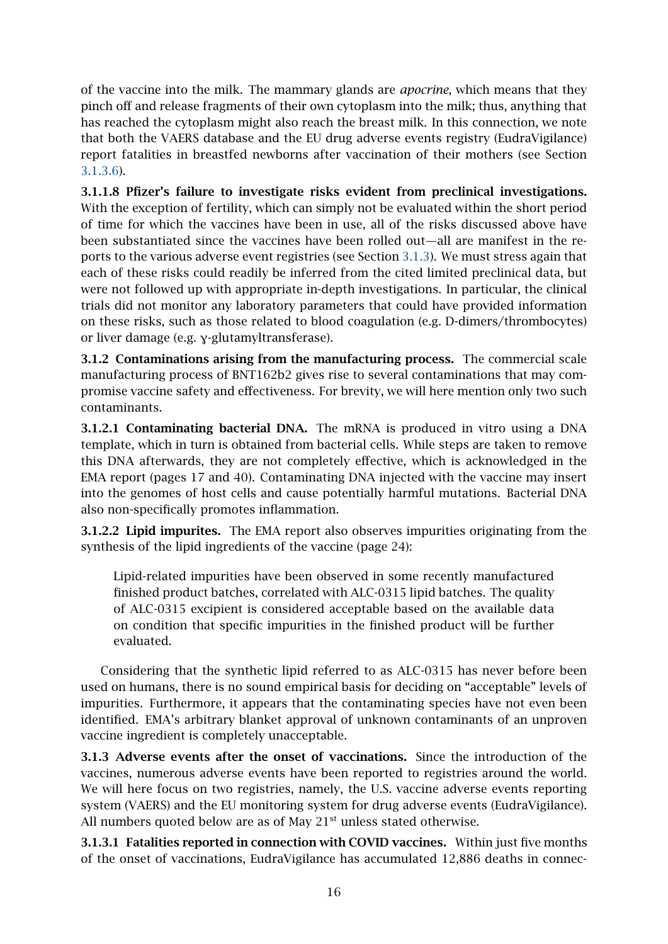of the vaccine into the milk. The mammary glands are *apocrine*, which means that they pinch off and release fragments of their own cytoplasm into the milk; thus, anything that has reached the cytoplasm might also reach the breast milk. In this connection, we note that both the VAERS database and the EU drug adverse events registry (EudraVigilance) report fatalities in breastfed newborns after vaccination of their mothers (see Section [3.1.3.6\)](#page-16-1).

3.1.1.8 Pfizer's failure to investigate risks evident from preclinical investigations. With the exception of fertility, which can simply not be evaluated within the short period of time for which the vaccines have been in use, all of the risks discussed above have been substantiated since the vaccines have been rolled out—all are manifest in the reports to the various adverse event registries (see Section [3.1.3\)](#page-15-0). We must stress again that each of these risks could readily be inferred from the cited limited preclinical data, but were not followed up with appropriate in-depth investigations. In particular, the clinical trials did not monitor any laboratory parameters that could have provided information on these risks, such as those related to blood coagulation (e.g. D-dimers/thrombocytes) or liver damage (e.g. γ-glutamyltransferase).

3.1.2 Contaminations arising from the manufacturing process. The commercial scale manufacturing process of BNT162b2 gives rise to several contaminations that may compromise vaccine safety and effectiveness. For brevity, we will here mention only two such contaminants.

3.1.2.1 Contaminating bacterial DNA. The mRNA is produced in vitro using a DNA template, which in turn is obtained from bacterial cells. While steps are taken to remove this DNA afterwards, they are not completely effective, which is acknowledged in the EMA report (pages 17 and 40). Contaminating DNA injected with the vaccine may insert into the genomes of host cells and cause potentially harmful mutations. Bacterial DNA also non-specifically promotes inflammation.

3.1.2.2 Lipid impurites. The EMA report also observes impurities originating from the synthesis of the lipid ingredients of the vaccine (page 24):

Lipid-related impurities have been observed in some recently manufactured finished product batches, correlated with ALC-0315 lipid batches. The quality of ALC-0315 excipient is considered acceptable based on the available data on condition that specific impurities in the finished product will be further evaluated.

Considering that the synthetic lipid referred to as ALC-0315 has never before been used on humans, there is no sound empirical basis for deciding on "acceptable" levels of impurities. Furthermore, it appears that the contaminating species have not even been identified. EMA's arbitrary blanket approval of unknown contaminants of an unproven vaccine ingredient is completely unacceptable.

<span id="page-15-0"></span>3.1.3 Adverse events after the onset of vaccinations. Since the introduction of the vaccines, numerous adverse events have been reported to registries around the world. We will here focus on two registries, namely, the U.S. vaccine adverse events reporting system (VAERS) and the EU monitoring system for drug adverse events (EudraVigilance). All numbers quoted below are as of May 21<sup>st</sup> unless stated otherwise.

3.1.3.1 Fatalities reported in connection with COVID vaccines. Within just five months of the onset of vaccinations, EudraVigilance has accumulated 12,886 deaths in connec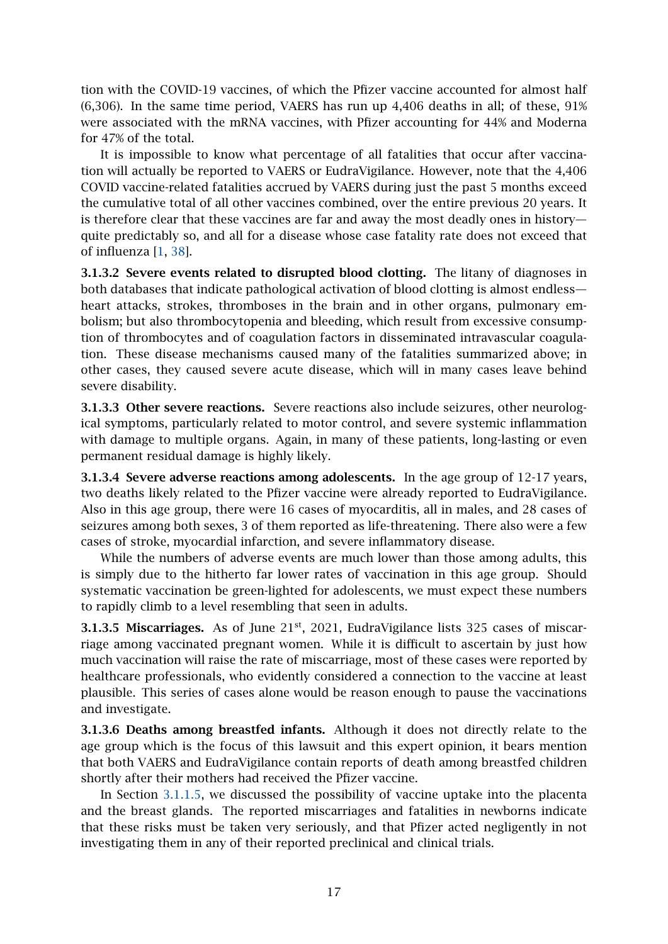tion with the COVID-19 vaccines, of which the Pfizer vaccine accounted for almost half (6,306). In the same time period, VAERS has run up 4,406 deaths in all; of these, 91% were associated with the mRNA vaccines, with Pfizer accounting for 44% and Moderna for 47% of the total.

It is impossible to know what percentage of all fatalities that occur after vaccination will actually be reported to VAERS or EudraVigilance. However, note that the 4,406 COVID vaccine-related fatalities accrued by VAERS during just the past 5 months exceed the cumulative total of all other vaccines combined, over the entire previous 20 years. It is therefore clear that these vaccines are far and away the most deadly ones in history quite predictably so, and all for a disease whose case fatality rate does not exceed that of influenza [\[1,](#page-19-0) [38\]](#page-21-15).

<span id="page-16-0"></span>3.1.3.2 Severe events related to disrupted blood clotting. The litany of diagnoses in both databases that indicate pathological activation of blood clotting is almost endless heart attacks, strokes, thromboses in the brain and in other organs, pulmonary embolism; but also thrombocytopenia and bleeding, which result from excessive consumption of thrombocytes and of coagulation factors in disseminated intravascular coagulation. These disease mechanisms caused many of the fatalities summarized above; in other cases, they caused severe acute disease, which will in many cases leave behind severe disability.

3.1.3.3 Other severe reactions. Severe reactions also include seizures, other neurological symptoms, particularly related to motor control, and severe systemic inflammation with damage to multiple organs. Again, in many of these patients, long-lasting or even permanent residual damage is highly likely.

3.1.3.4 Severe adverse reactions among adolescents. In the age group of 12-17 years, two deaths likely related to the Pfizer vaccine were already reported to EudraVigilance. Also in this age group, there were 16 cases of myocarditis, all in males, and 28 cases of seizures among both sexes, 3 of them reported as life-threatening. There also were a few cases of stroke, myocardial infarction, and severe inflammatory disease.

While the numbers of adverse events are much lower than those among adults, this is simply due to the hitherto far lower rates of vaccination in this age group. Should systematic vaccination be green-lighted for adolescents, we must expect these numbers to rapidly climb to a level resembling that seen in adults.

**3.1.3.5 Miscarriages.** As of June 21<sup>st</sup>, 2021, EudraVigilance lists 325 cases of miscarriage among vaccinated pregnant women. While it is difficult to ascertain by just how much vaccination will raise the rate of miscarriage, most of these cases were reported by healthcare professionals, who evidently considered a connection to the vaccine at least plausible. This series of cases alone would be reason enough to pause the vaccinations and investigate.

<span id="page-16-1"></span>3.1.3.6 Deaths among breastfed infants. Although it does not directly relate to the age group which is the focus of this lawsuit and this expert opinion, it bears mention that both VAERS and EudraVigilance contain reports of death among breastfed children shortly after their mothers had received the Pfizer vaccine.

In Section [3.1.1.5,](#page-14-0) we discussed the possibility of vaccine uptake into the placenta and the breast glands. The reported miscarriages and fatalities in newborns indicate that these risks must be taken very seriously, and that Pfizer acted negligently in not investigating them in any of their reported preclinical and clinical trials.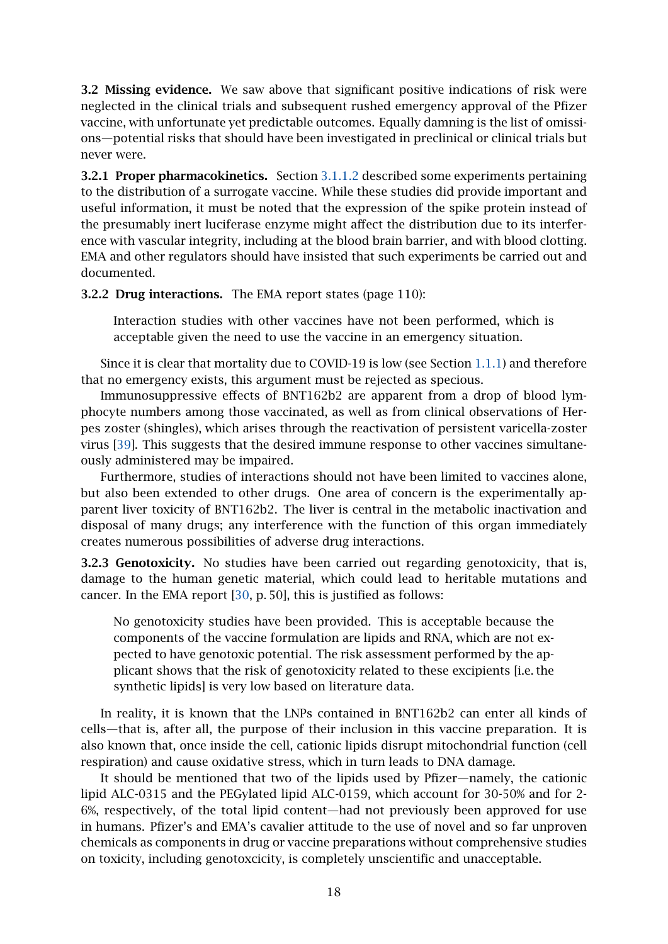3.2 Missing evidence. We saw above that significant positive indications of risk were neglected in the clinical trials and subsequent rushed emergency approval of the Pfizer vaccine, with unfortunate yet predictable outcomes. Equally damning is the list of omissions—potential risks that should have been investigated in preclinical or clinical trials but never were.

3.2.1 Proper pharmacokinetics. Section [3.1.1.2](#page-13-0) described some experiments pertaining to the distribution of a surrogate vaccine. While these studies did provide important and useful information, it must be noted that the expression of the spike protein instead of the presumably inert luciferase enzyme might affect the distribution due to its interference with vascular integrity, including at the blood brain barrier, and with blood clotting. EMA and other regulators should have insisted that such experiments be carried out and documented.

3.2.2 Drug interactions. The EMA report states (page 110):

Interaction studies with other vaccines have not been performed, which is acceptable given the need to use the vaccine in an emergency situation.

Since it is clear that mortality due to COVID-19 is low (see Section [1.1.1\)](#page-1-2) and therefore that no emergency exists, this argument must be rejected as specious.

Immunosuppressive effects of BNT162b2 are apparent from a drop of blood lymphocyte numbers among those vaccinated, as well as from clinical observations of Herpes zoster (shingles), which arises through the reactivation of persistent varicella-zoster virus [\[39\]](#page-21-16). This suggests that the desired immune response to other vaccines simultaneously administered may be impaired.

Furthermore, studies of interactions should not have been limited to vaccines alone, but also been extended to other drugs. One area of concern is the experimentally apparent liver toxicity of BNT162b2. The liver is central in the metabolic inactivation and disposal of many drugs; any interference with the function of this organ immediately creates numerous possibilities of adverse drug interactions.

3.2.3 Genotoxicity. No studies have been carried out regarding genotoxicity, that is, damage to the human genetic material, which could lead to heritable mutations and cancer. In the EMA report [\[30,](#page-21-7) p. 50], this is justified as follows:

No genotoxicity studies have been provided. This is acceptable because the components of the vaccine formulation are lipids and RNA, which are not expected to have genotoxic potential. The risk assessment performed by the applicant shows that the risk of genotoxicity related to these excipients [i.e. the synthetic lipids] is very low based on literature data.

In reality, it is known that the LNPs contained in BNT162b2 can enter all kinds of cells—that is, after all, the purpose of their inclusion in this vaccine preparation. It is also known that, once inside the cell, cationic lipids disrupt mitochondrial function (cell respiration) and cause oxidative stress, which in turn leads to DNA damage.

It should be mentioned that two of the lipids used by Pfizer—namely, the cationic lipid ALC-0315 and the PEGylated lipid ALC-0159, which account for 30-50% and for 2- 6%, respectively, of the total lipid content—had not previously been approved for use in humans. Pfizer's and EMA's cavalier attitude to the use of novel and so far unproven chemicals as components in drug or vaccine preparations without comprehensive studies on toxicity, including genotoxcicity, is completely unscientific and unacceptable.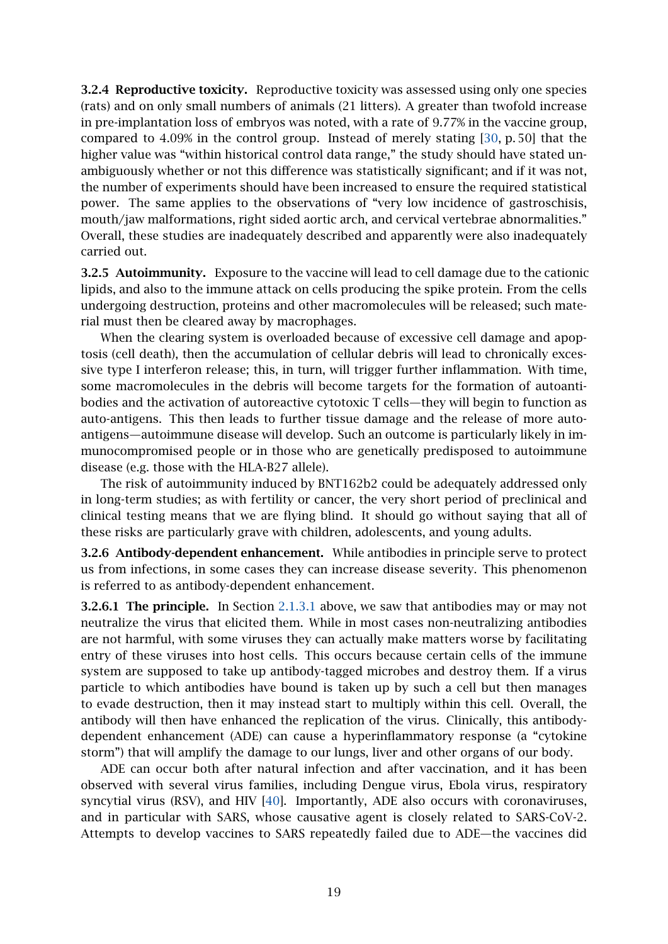3.2.4 Reproductive toxicity. Reproductive toxicity was assessed using only one species (rats) and on only small numbers of animals (21 litters). A greater than twofold increase in pre-implantation loss of embryos was noted, with a rate of 9.77% in the vaccine group, compared to 4.09% in the control group. Instead of merely stating [\[30,](#page-21-7) p. 50] that the higher value was "within historical control data range," the study should have stated unambiguously whether or not this difference was statistically significant; and if it was not, the number of experiments should have been increased to ensure the required statistical power. The same applies to the observations of "very low incidence of gastroschisis, mouth/jaw malformations, right sided aortic arch, and cervical vertebrae abnormalities." Overall, these studies are inadequately described and apparently were also inadequately carried out.

3.2.5 Autoimmunity. Exposure to the vaccine will lead to cell damage due to the cationic lipids, and also to the immune attack on cells producing the spike protein. From the cells undergoing destruction, proteins and other macromolecules will be released; such material must then be cleared away by macrophages.

When the clearing system is overloaded because of excessive cell damage and apoptosis (cell death), then the accumulation of cellular debris will lead to chronically excessive type I interferon release; this, in turn, will trigger further inflammation. With time, some macromolecules in the debris will become targets for the formation of autoantibodies and the activation of autoreactive cytotoxic T cells—they will begin to function as auto-antigens. This then leads to further tissue damage and the release of more autoantigens—autoimmune disease will develop. Such an outcome is particularly likely in immunocompromised people or in those who are genetically predisposed to autoimmune disease (e.g. those with the HLA-B27 allele).

The risk of autoimmunity induced by BNT162b2 could be adequately addressed only in long-term studies; as with fertility or cancer, the very short period of preclinical and clinical testing means that we are flying blind. It should go without saying that all of these risks are particularly grave with children, adolescents, and young adults.

3.2.6 Antibody-dependent enhancement. While antibodies in principle serve to protect us from infections, in some cases they can increase disease severity. This phenomenon is referred to as antibody-dependent enhancement.

3.2.6.1 The principle. In Section [2.1.3.1](#page-7-0) above, we saw that antibodies may or may not neutralize the virus that elicited them. While in most cases non-neutralizing antibodies are not harmful, with some viruses they can actually make matters worse by facilitating entry of these viruses into host cells. This occurs because certain cells of the immune system are supposed to take up antibody-tagged microbes and destroy them. If a virus particle to which antibodies have bound is taken up by such a cell but then manages to evade destruction, then it may instead start to multiply within this cell. Overall, the antibody will then have enhanced the replication of the virus. Clinically, this antibodydependent enhancement (ADE) can cause a hyperinflammatory response (a "cytokine storm") that will amplify the damage to our lungs, liver and other organs of our body.

ADE can occur both after natural infection and after vaccination, and it has been observed with several virus families, including Dengue virus, Ebola virus, respiratory syncytial virus (RSV), and HIV [\[40\]](#page-22-0). Importantly, ADE also occurs with coronaviruses, and in particular with SARS, whose causative agent is closely related to SARS-CoV-2. Attempts to develop vaccines to SARS repeatedly failed due to ADE—the vaccines did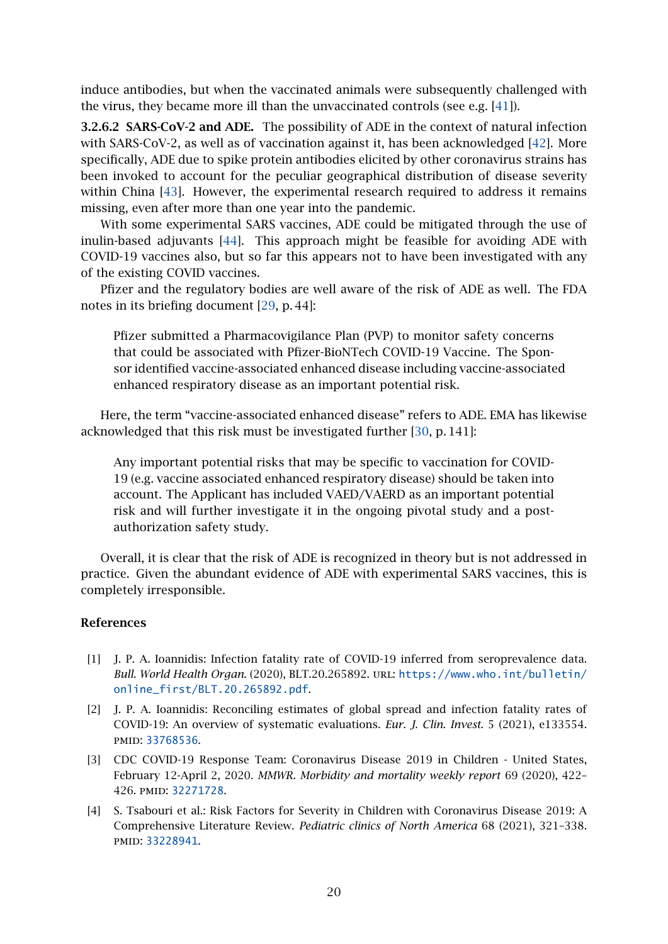induce antibodies, but when the vaccinated animals were subsequently challenged with the virus, they became more ill than the unvaccinated controls (see e.g. [\[41\]](#page-22-1)).

3.2.6.2 SARS-CoV-2 and ADE. The possibility of ADE in the context of natural infection with SARS-CoV-2, as well as of vaccination against it, has been acknowledged [\[42\]](#page-22-2). More specifically, ADE due to spike protein antibodies elicited by other coronavirus strains has been invoked to account for the peculiar geographical distribution of disease severity within China [\[43\]](#page-22-3). However, the experimental research required to address it remains missing, even after more than one year into the pandemic.

With some experimental SARS vaccines, ADE could be mitigated through the use of inulin-based adjuvants [\[44\]](#page-22-4). This approach might be feasible for avoiding ADE with COVID-19 vaccines also, but so far this appears not to have been investigated with any of the existing COVID vaccines.

Pfizer and the regulatory bodies are well aware of the risk of ADE as well. The FDA notes in its briefing document [\[29,](#page-21-6) p. 44]:

Pfizer submitted a Pharmacovigilance Plan (PVP) to monitor safety concerns that could be associated with Pfizer-BioNTech COVID-19 Vaccine. The Sponsor identified vaccine-associated enhanced disease including vaccine-associated enhanced respiratory disease as an important potential risk.

Here, the term "vaccine-associated enhanced disease" refers to ADE. EMA has likewise acknowledged that this risk must be investigated further [\[30,](#page-21-7) p. 141]:

Any important potential risks that may be specific to vaccination for COVID-19 (e.g. vaccine associated enhanced respiratory disease) should be taken into account. The Applicant has included VAED/VAERD as an important potential risk and will further investigate it in the ongoing pivotal study and a postauthorization safety study.

Overall, it is clear that the risk of ADE is recognized in theory but is not addressed in practice. Given the abundant evidence of ADE with experimental SARS vaccines, this is completely irresponsible.

#### References

- <span id="page-19-0"></span>[1] J. P. A. Ioannidis: Infection fatality rate of COVID-19 inferred from seroprevalence data. *Bull. World Health Organ.* (2020), BLT.20.265892. url: [https://www.who.int/bulletin/](https://www.who.int/bulletin/online_first/BLT.20.265892.pdf) [online\\_first/BLT.20.265892.pdf](https://www.who.int/bulletin/online_first/BLT.20.265892.pdf).
- <span id="page-19-1"></span>[2] J. P. A. Ioannidis: Reconciling estimates of global spread and infection fatality rates of COVID-19: An overview of systematic evaluations. *Eur. J. Clin. Invest.* 5 (2021), e133554. pmid: [33768536](http://www.ncbi.nlm.nih.gov/pubmed/33768536).
- <span id="page-19-2"></span>[3] CDC COVID-19 Response Team: Coronavirus Disease 2019 in Children - United States, February 12-April 2, 2020. *MMWR. Morbidity and mortality weekly report* 69 (2020), 422– 426. pmid: [32271728](http://www.ncbi.nlm.nih.gov/pubmed/32271728).
- <span id="page-19-3"></span>[4] S. Tsabouri et al.: Risk Factors for Severity in Children with Coronavirus Disease 2019: A Comprehensive Literature Review. *Pediatric clinics of North America* 68 (2021), 321–338. pmid: [33228941](http://www.ncbi.nlm.nih.gov/pubmed/33228941).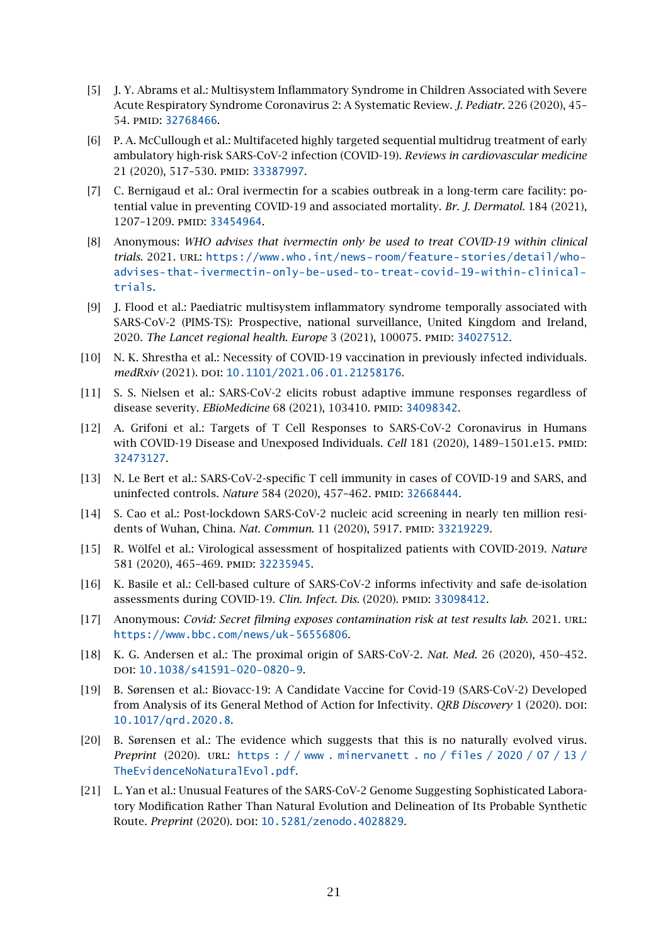- <span id="page-20-0"></span>[5] J. Y. Abrams et al.: Multisystem Inflammatory Syndrome in Children Associated with Severe Acute Respiratory Syndrome Coronavirus 2: A Systematic Review. *J. Pediatr.* 226 (2020), 45– 54. pmid: [32768466](http://www.ncbi.nlm.nih.gov/pubmed/32768466).
- <span id="page-20-1"></span>[6] P. A. McCullough et al.: Multifaceted highly targeted sequential multidrug treatment of early ambulatory high-risk SARS-CoV-2 infection (COVID-19). *Reviews in cardiovascular medicine* 21 (2020), 517–530. pmid: [33387997](http://www.ncbi.nlm.nih.gov/pubmed/33387997).
- <span id="page-20-2"></span>[7] C. Bernigaud et al.: Oral ivermectin for a scabies outbreak in a long-term care facility: potential value in preventing COVID-19 and associated mortality. *Br. J. Dermatol.* 184 (2021), 1207–1209. pmid: [33454964](http://www.ncbi.nlm.nih.gov/pubmed/33454964).
- <span id="page-20-3"></span>[8] Anonymous: *WHO advises that ivermectin only be used to treat COVID-19 within clinical trials*. 2021. url: [https://www.who.int/news-room/feature-stories/detail/who](https://www.who.int/news-room/feature-stories/detail/who-advises-that-ivermectin-only-be-used-to-treat-covid-19-within-clinical-trials)[advises-that-ivermectin-only-be-used-to-treat-covid-19-within-clinical](https://www.who.int/news-room/feature-stories/detail/who-advises-that-ivermectin-only-be-used-to-treat-covid-19-within-clinical-trials)[trials](https://www.who.int/news-room/feature-stories/detail/who-advises-that-ivermectin-only-be-used-to-treat-covid-19-within-clinical-trials).
- <span id="page-20-4"></span>[9] J. Flood et al.: Paediatric multisystem inflammatory syndrome temporally associated with SARS-CoV-2 (PIMS-TS): Prospective, national surveillance, United Kingdom and Ireland, 2020. *The Lancet regional health. Europe* 3 (2021), 100075. PMID: [34027512](http://www.ncbi.nlm.nih.gov/pubmed/34027512).
- <span id="page-20-5"></span>[10] N. K. Shrestha et al.: Necessity of COVID-19 vaccination in previously infected individuals. *medRxiv* (2021). DOI: [10.1101/2021.06.01.21258176](http://dx.doi.org/10.1101/2021.06.01.21258176).
- <span id="page-20-6"></span>[11] S. S. Nielsen et al.: SARS-CoV-2 elicits robust adaptive immune responses regardless of disease severity. *EBioMedicine* 68 (2021), 103410. PMID: [34098342](http://www.ncbi.nlm.nih.gov/pubmed/34098342).
- <span id="page-20-7"></span>[12] A. Grifoni et al.: Targets of T Cell Responses to SARS-CoV-2 Coronavirus in Humans with COVID-19 Disease and Unexposed Individuals. *Cell* 181 (2020), 1489-1501.e15. PMID: [32473127](http://www.ncbi.nlm.nih.gov/pubmed/32473127).
- <span id="page-20-8"></span>[13] N. Le Bert et al.: SARS-CoV-2-specific T cell immunity in cases of COVID-19 and SARS, and uninfected controls. *Nature* 584 (2020), 457-462. PMID: [32668444](http://www.ncbi.nlm.nih.gov/pubmed/32668444).
- <span id="page-20-9"></span>[14] S. Cao et al.: Post-lockdown SARS-CoV-2 nucleic acid screening in nearly ten million residents of Wuhan, China. *Nat. Commun.* 11 (2020), 5917. PMID: [33219229](http://www.ncbi.nlm.nih.gov/pubmed/33219229).
- <span id="page-20-10"></span>[15] R. Wölfel et al.: Virological assessment of hospitalized patients with COVID-2019. *Nature* 581 (2020), 465-469. PMID: [32235945](http://www.ncbi.nlm.nih.gov/pubmed/32235945).
- <span id="page-20-11"></span>[16] K. Basile et al.: Cell-based culture of SARS-CoV-2 informs infectivity and safe de-isolation assessments during COVID-19. *Clin. Infect. Dis.* (2020). PMID: [33098412](http://www.ncbi.nlm.nih.gov/pubmed/33098412).
- <span id="page-20-12"></span>[17] Anonymous: *Covid: Secret filming exposes contamination risk at test results lab*. 2021. url: <https://www.bbc.com/news/uk-56556806>.
- <span id="page-20-13"></span>[18] K. G. Andersen et al.: The proximal origin of SARS-CoV-2. *Nat. Med.* 26 (2020), 450–452. doi: [10.1038/s41591-020-0820-9](http://dx.doi.org/10.1038/s41591-020-0820-9).
- <span id="page-20-14"></span>[19] B. Sørensen et al.: Biovacc-19: A Candidate Vaccine for Covid-19 (SARS-CoV-2) Developed from Analysis of its General Method of Action for Infectivity. *QRB Discovery* 1 (2020). DOI: [10.1017/qrd.2020.8](http://dx.doi.org/10.1017/qrd.2020.8).
- [20] B. Sørensen et al.: The evidence which suggests that this is no naturally evolved virus. *Preprint* (2020). url: [https : / / www . minervanett . no / files / 2020 / 07 / 13 /](https://www.minervanett.no/files/2020/07/13/TheEvidenceNoNaturalEvol.pdf) [TheEvidenceNoNaturalEvol.pdf](https://www.minervanett.no/files/2020/07/13/TheEvidenceNoNaturalEvol.pdf).
- [21] L. Yan et al.: Unusual Features of the SARS-CoV-2 Genome Suggesting Sophisticated Laboratory Modification Rather Than Natural Evolution and Delineation of Its Probable Synthetic Route. *Preprint* (2020). DOI: [10.5281/zenodo.4028829](http://dx.doi.org/10.5281/zenodo.4028829).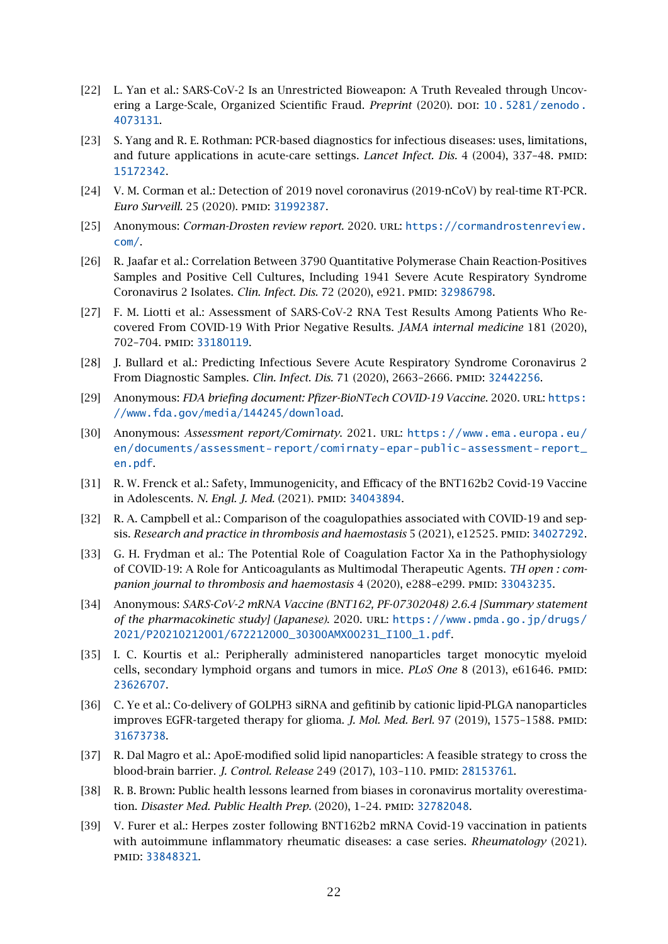- <span id="page-21-0"></span>[22] L. Yan et al.: SARS-CoV-2 Is an Unrestricted Bioweapon: A Truth Revealed through Uncovering a Large-Scale, Organized Scientific Fraud. *Preprint* (2020). DOI: [10.5281/zenodo.](http://dx.doi.org/10.5281/zenodo.4073131) [4073131](http://dx.doi.org/10.5281/zenodo.4073131).
- <span id="page-21-1"></span>[23] S. Yang and R. E. Rothman: PCR-based diagnostics for infectious diseases: uses, limitations, and future applications in acute-care settings. *Lancet Infect. Dis.* 4 (2004), 337-48. PMID: [15172342](http://www.ncbi.nlm.nih.gov/pubmed/15172342).
- <span id="page-21-2"></span>[24] V. M. Corman et al.: Detection of 2019 novel coronavirus (2019-nCoV) by real-time RT-PCR. *Euro Surveill.* 25 (2020). PMID: [31992387](http://www.ncbi.nlm.nih.gov/pubmed/31992387).
- <span id="page-21-3"></span>[25] Anonymous: *Corman-Drosten review report*. 2020. url: [https://cormandrostenreview.](https://cormandrostenreview.com/) [com/](https://cormandrostenreview.com/).
- <span id="page-21-4"></span>[26] R. Jaafar et al.: Correlation Between 3790 Quantitative Polymerase Chain Reaction-Positives Samples and Positive Cell Cultures, Including 1941 Severe Acute Respiratory Syndrome Coronavirus 2 Isolates. *Clin. Infect. Dis.* 72 (2020), e921. PMID: [32986798](http://www.ncbi.nlm.nih.gov/pubmed/32986798).
- [27] F. M. Liotti et al.: Assessment of SARS-CoV-2 RNA Test Results Among Patients Who Recovered From COVID-19 With Prior Negative Results. *JAMA internal medicine* 181 (2020), 702–704. pmid: [33180119](http://www.ncbi.nlm.nih.gov/pubmed/33180119).
- <span id="page-21-5"></span>[28] J. Bullard et al.: Predicting Infectious Severe Acute Respiratory Syndrome Coronavirus 2 From Diagnostic Samples. *Clin. Infect. Dis.* 71 (2020), 2663–2666. pmid: [32442256](http://www.ncbi.nlm.nih.gov/pubmed/32442256).
- <span id="page-21-6"></span>[29] Anonymous: *FDA briefing document: Pfizer-BioNTech COVID-19 Vaccine*. 2020. url: [https:](https://www.fda.gov/media/144245/download) [//www.fda.gov/media/144245/download](https://www.fda.gov/media/144245/download).
- <span id="page-21-7"></span>[30] Anonymous: *Assessment report/Comirnaty*. 2021. url: [https://www.ema.europa.eu/](https://www.ema.europa.eu/en/documents/assessment-report/comirnaty-epar-public-assessment-report_en.pdf) [en/documents/assessment-report/comirnaty-epar-public-assessment-report\\_](https://www.ema.europa.eu/en/documents/assessment-report/comirnaty-epar-public-assessment-report_en.pdf) [en.pdf](https://www.ema.europa.eu/en/documents/assessment-report/comirnaty-epar-public-assessment-report_en.pdf).
- <span id="page-21-8"></span>[31] R. W. Frenck et al.: Safety, Immunogenicity, and Efficacy of the BNT162b2 Covid-19 Vaccine in Adolescents. *N. Engl. J. Med.* (2021). PMID: [34043894](http://www.ncbi.nlm.nih.gov/pubmed/34043894).
- <span id="page-21-9"></span>[32] R. A. Campbell et al.: Comparison of the coagulopathies associated with COVID-19 and sepsis. *Research and practice in thrombosis and haemostasis* 5 (2021), e12525. pmid: [34027292](http://www.ncbi.nlm.nih.gov/pubmed/34027292).
- <span id="page-21-10"></span>[33] G. H. Frydman et al.: The Potential Role of Coagulation Factor Xa in the Pathophysiology of COVID-19: A Role for Anticoagulants as Multimodal Therapeutic Agents. *TH open : com-*panion journal to thrombosis and haemostasis 4 (2020), e288-e299. PMID: [33043235](http://www.ncbi.nlm.nih.gov/pubmed/33043235).
- <span id="page-21-11"></span>[34] Anonymous: *SARS-CoV-2 mRNA Vaccine (BNT162, PF-07302048) 2.6.4 [Summary statement of the pharmacokinetic study] (Japanese).* 2020. URL: [https://www.pmda.go.jp/drugs/](https://www.pmda.go.jp/drugs/2021/P20210212001/672212000_30300AMX00231_I100_1.pdf) [2021/P20210212001/672212000\\_30300AMX00231\\_I100\\_1.pdf](https://www.pmda.go.jp/drugs/2021/P20210212001/672212000_30300AMX00231_I100_1.pdf).
- <span id="page-21-12"></span>[35] I. C. Kourtis et al.: Peripherally administered nanoparticles target monocytic myeloid cells, secondary lymphoid organs and tumors in mice. *PLoS One* 8 (2013), e61646. pmid: [23626707](http://www.ncbi.nlm.nih.gov/pubmed/23626707).
- <span id="page-21-13"></span>[36] C. Ye et al.: Co-delivery of GOLPH3 siRNA and gefitinib by cationic lipid-PLGA nanoparticles improves EGFR-targeted therapy for glioma. *J. Mol. Med. Berl.* 97 (2019), 1575–1588. pmid: [31673738](http://www.ncbi.nlm.nih.gov/pubmed/31673738).
- <span id="page-21-14"></span>[37] R. Dal Magro et al.: ApoE-modified solid lipid nanoparticles: A feasible strategy to cross the blood-brain barrier. *J. Control. Release* 249 (2017), 103-110. *PMID: [28153761](http://www.ncbi.nlm.nih.gov/pubmed/28153761).*
- <span id="page-21-15"></span>[38] R. B. Brown: Public health lessons learned from biases in coronavirus mortality overestimation. *Disaster Med. Public Health Prep.* (2020), 1-24. PMID: [32782048](http://www.ncbi.nlm.nih.gov/pubmed/32782048).
- <span id="page-21-16"></span>[39] V. Furer et al.: Herpes zoster following BNT162b2 mRNA Covid-19 vaccination in patients with autoimmune inflammatory rheumatic diseases: a case series. *Rheumatology* (2021). pmid: [33848321](http://www.ncbi.nlm.nih.gov/pubmed/33848321).